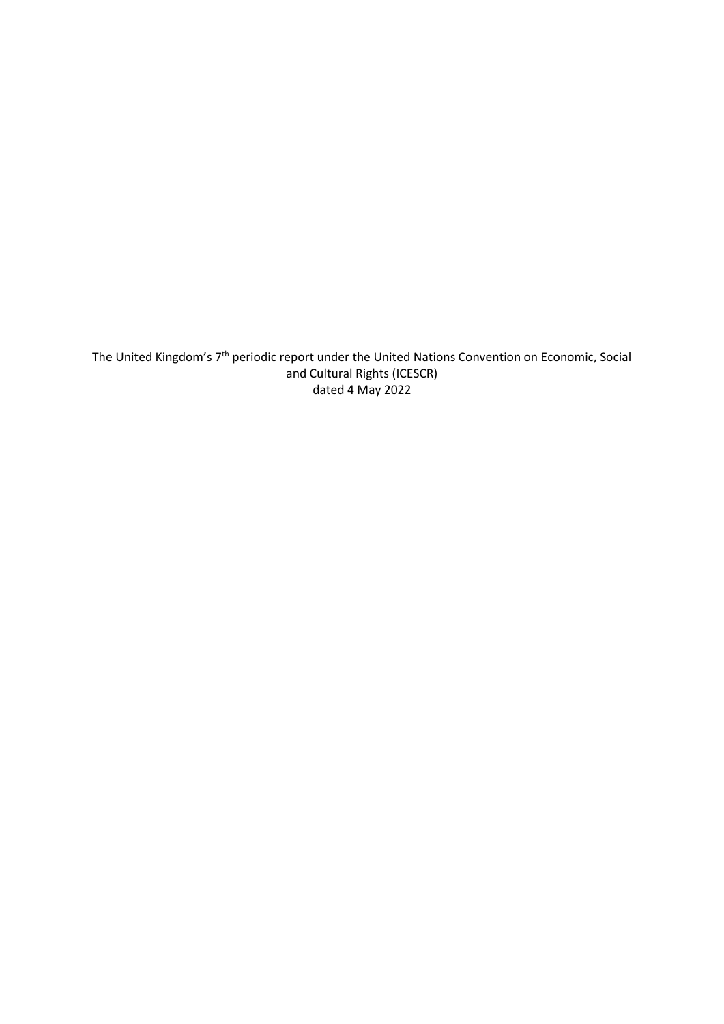The United Kingdom's 7<sup>th</sup> periodic report under the United Nations Convention on Economic, Social and Cultural Rights (ICESCR) dated 4 May 2022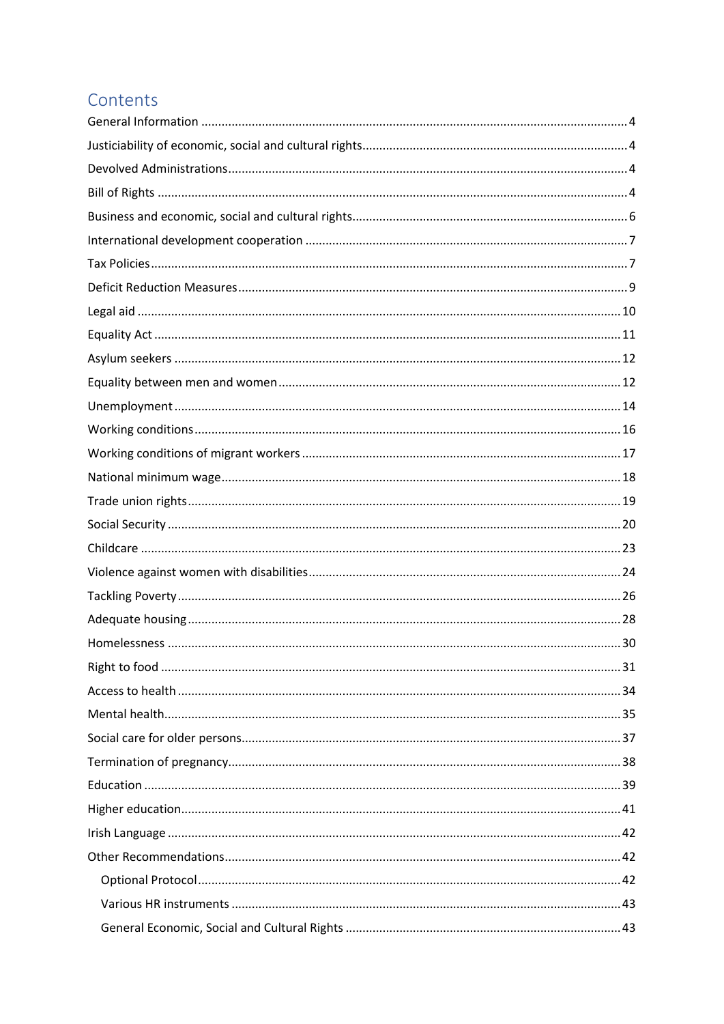# Contents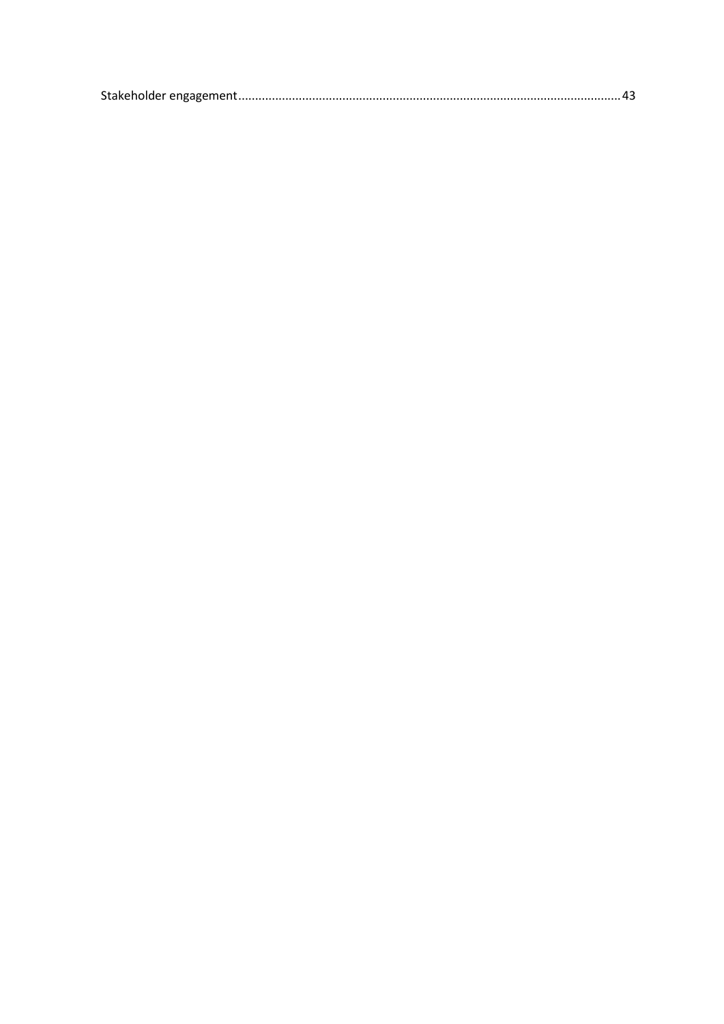|--|--|--|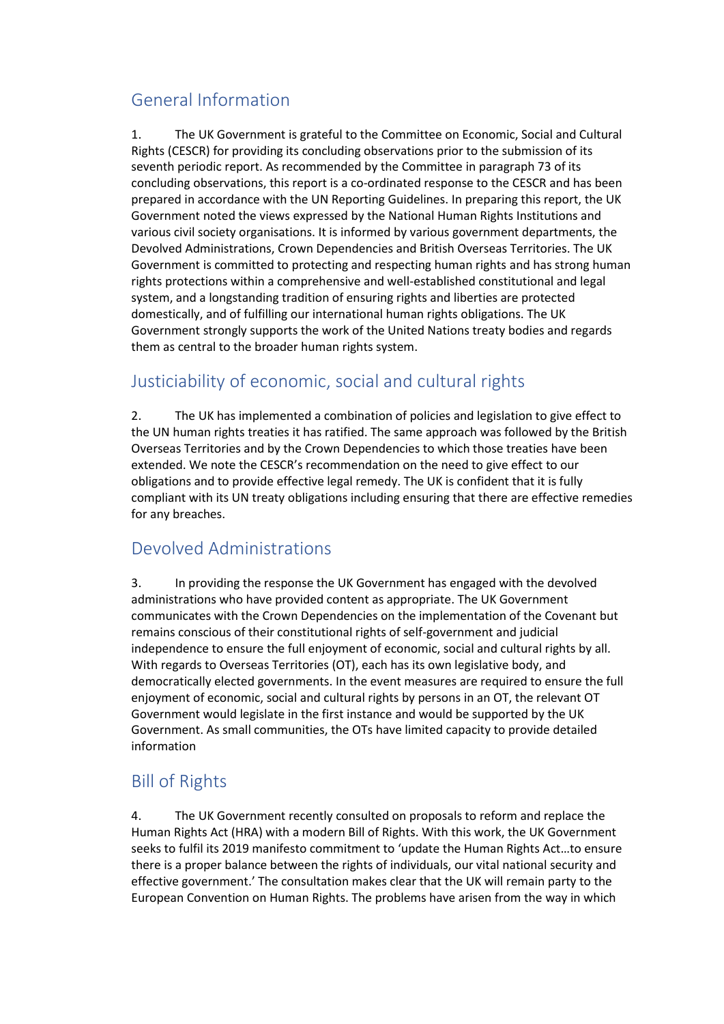# <span id="page-3-0"></span>General Information

1. The UK Government is grateful to the Committee on Economic, Social and Cultural Rights (CESCR) for providing its concluding observations prior to the submission of its seventh periodic report. As recommended by the Committee in paragraph 73 of its concluding observations, this report is a co-ordinated response to the CESCR and has been prepared in accordance with the UN Reporting Guidelines. In preparing this report, the UK Government noted the views expressed by the National Human Rights Institutions and various civil society organisations. It is informed by various government departments, the Devolved Administrations, Crown Dependencies and British Overseas Territories. The UK Government is committed to protecting and respecting human rights and has strong human rights protections within a comprehensive and well-established constitutional and legal system, and a longstanding tradition of ensuring rights and liberties are protected domestically, and of fulfilling our international human rights obligations. The UK Government strongly supports the work of the United Nations treaty bodies and regards them as central to the broader human rights system.

# <span id="page-3-1"></span>Justiciability of economic, social and cultural rights

2. The UK has implemented a combination of policies and legislation to give effect to the UN human rights treaties it has ratified. The same approach was followed by the British Overseas Territories and by the Crown Dependencies to which those treaties have been extended. We note the CESCR's recommendation on the need to give effect to our obligations and to provide effective legal remedy. The UK is confident that it is fully compliant with its UN treaty obligations including ensuring that there are effective remedies for any breaches.

# <span id="page-3-2"></span>Devolved Administrations

3. In providing the response the UK Government has engaged with the devolved administrations who have provided content as appropriate. The UK Government communicates with the Crown Dependencies on the implementation of the Covenant but remains conscious of their constitutional rights of self-government and judicial independence to ensure the full enjoyment of economic, social and cultural rights by all. With regards to Overseas Territories (OT), each has its own legislative body, and democratically elected governments. In the event measures are required to ensure the full enjoyment of economic, social and cultural rights by persons in an OT, the relevant OT Government would legislate in the first instance and would be supported by the UK Government. As small communities, the OTs have limited capacity to provide detailed information

# <span id="page-3-3"></span>Bill of Rights

4. The UK Government recently consulted on proposals to reform and replace the Human Rights Act (HRA) with a modern Bill of Rights. With this work, the UK Government seeks to fulfil its 2019 manifesto commitment to 'update the Human Rights Act…to ensure there is a proper balance between the rights of individuals, our vital national security and effective government.' The consultation makes clear that the UK will remain party to the European Convention on Human Rights. The problems have arisen from the way in which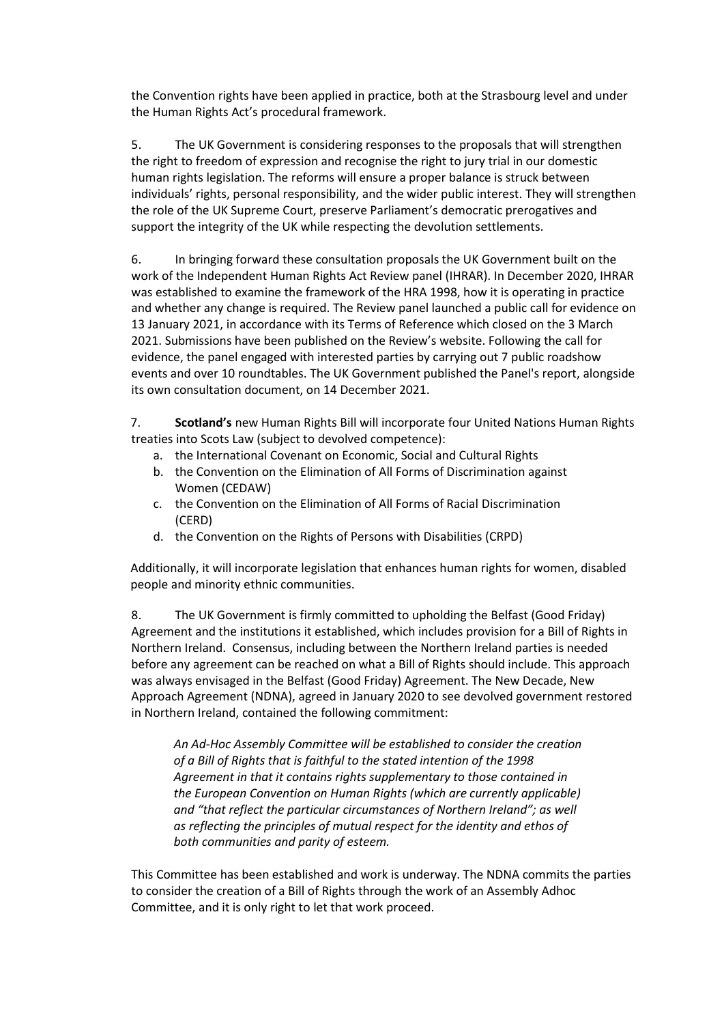the Convention rights have been applied in practice, both at the Strasbourg level and under the Human Rights Act's procedural framework.

5. The UK Government is considering responses to the proposals that will strengthen the right to freedom of expression and recognise the right to jury trial in our domestic human rights legislation. The reforms will ensure a proper balance is struck between individuals' rights, personal responsibility, and the wider public interest. They will strengthen the role of the UK Supreme Court, preserve Parliament's democratic prerogatives and support the integrity of the UK while respecting the devolution settlements.

6. In bringing forward these consultation proposals the UK Government built on the work of the Independent Human Rights Act Review panel (IHRAR). In December 2020, IHRAR was established to examine the framework of the HRA 1998, how it is operating in practice and whether any change is required. The Review panel launched a public call for evidence on 13 January 2021, in accordance with its Terms of Reference which closed on the 3 March 2021. Submissions have been published on the Review's website. Following the call for evidence, the panel engaged with interested parties by carrying out 7 public roadshow events and over 10 roundtables. The UK Government published the Panel's report, alongside its own consultation document, on 14 December 2021.

7. **Scotland's** new Human Rights Bill will incorporate four United Nations Human Rights treaties into Scots Law (subject to devolved competence):

- a. the International Covenant on Economic, Social and Cultural Rights
- b. the Convention on the Elimination of All Forms of Discrimination against Women (CEDAW)
- c. the Convention on the Elimination of All Forms of Racial Discrimination (CERD)
- d. the Convention on the Rights of Persons with Disabilities (CRPD)

Additionally, it will incorporate legislation that enhances human rights for women, disabled people and minority ethnic communities.

8. The UK Government is firmly committed to upholding the Belfast (Good Friday) Agreement and the institutions it established, which includes provision for a Bill of Rights in Northern Ireland. Consensus, including between the Northern Ireland parties is needed before any agreement can be reached on what a Bill of Rights should include. This approach was always envisaged in the Belfast (Good Friday) Agreement. The New Decade, New Approach Agreement (NDNA), agreed in January 2020 to see devolved government restored in Northern Ireland, contained the following commitment:

*An Ad-Hoc Assembly Committee will be established to consider the creation of a Bill of Rights that is faithful to the stated intention of the 1998 Agreement in that it contains rights supplementary to those contained in the European Convention on Human Rights (which are currently applicable) and "that reflect the particular circumstances of Northern Ireland"; as well as reflecting the principles of mutual respect for the identity and ethos of both communities and parity of esteem.* 

This Committee has been established and work is underway. The NDNA commits the parties to consider the creation of a Bill of Rights through the work of an Assembly Adhoc Committee, and it is only right to let that work proceed.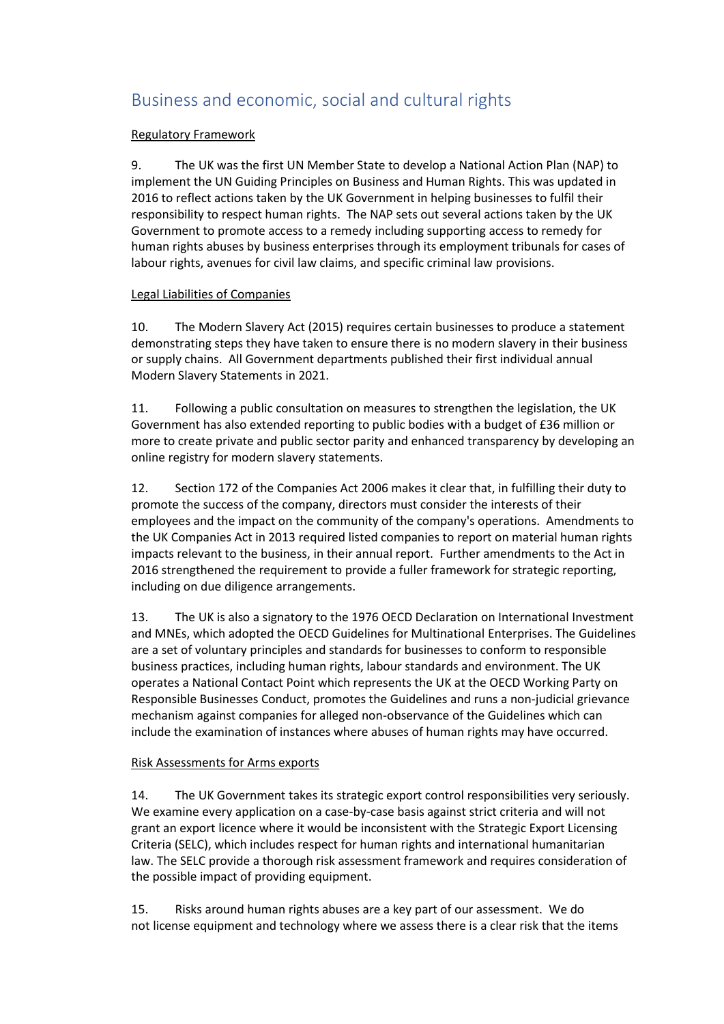# <span id="page-5-0"></span>Business and economic, social and cultural rights

#### Regulatory Framework

9. The UK was the first UN Member State to develop a National Action Plan (NAP) to implement the UN Guiding Principles on Business and Human Rights. This was updated in 2016 to reflect actions taken by the UK Government in helping businesses to fulfil their responsibility to respect human rights. The NAP sets out several actions taken by the UK Government to promote access to a remedy including supporting access to remedy for human rights abuses by business enterprises through its employment tribunals for cases of labour rights, avenues for civil law claims, and specific criminal law provisions.

#### Legal Liabilities of Companies

10. The Modern Slavery Act (2015) requires certain businesses to produce a statement demonstrating steps they have taken to ensure there is no modern slavery in their business or supply chains. All Government departments published their first individual annual Modern Slavery Statements in 2021.

11. Following a public consultation on measures to strengthen the legislation, the UK Government has also extended reporting to public bodies with a budget of £36 million or more to create private and public sector parity and enhanced transparency by developing an online registry for modern slavery statements.

12. Section 172 of the Companies Act 2006 makes it clear that, in fulfilling their duty to promote the success of the company, directors must consider the interests of their employees and the impact on the community of the company's operations. Amendments to the UK Companies Act in 2013 required listed companies to report on material human rights impacts relevant to the business, in their annual report. Further amendments to the Act in 2016 strengthened the requirement to provide a fuller framework for strategic reporting, including on due diligence arrangements.

13. The UK is also a signatory to the 1976 OECD Declaration on International Investment and MNEs, which adopted the OECD Guidelines for Multinational Enterprises. The Guidelines are a set of voluntary principles and standards for businesses to conform to responsible business practices, including human rights, labour standards and environment. The UK operates a National Contact Point which represents the UK at the OECD Working Party on Responsible Businesses Conduct, promotes the Guidelines and runs a non-judicial grievance mechanism against companies for alleged non-observance of the Guidelines which can include the examination of instances where abuses of human rights may have occurred.

#### Risk Assessments for Arms exports

14. The UK Government takes its strategic export control responsibilities very seriously. We examine every application on a case-by-case basis against strict criteria and will not grant an export licence where it would be inconsistent with the Strategic Export Licensing Criteria (SELC), which includes respect for human rights and international humanitarian law. The SELC provide a thorough risk assessment framework and requires consideration of the possible impact of providing equipment.

15. Risks around human rights abuses are a key part of our assessment. We do not license equipment and technology where we assess there is a clear risk that the items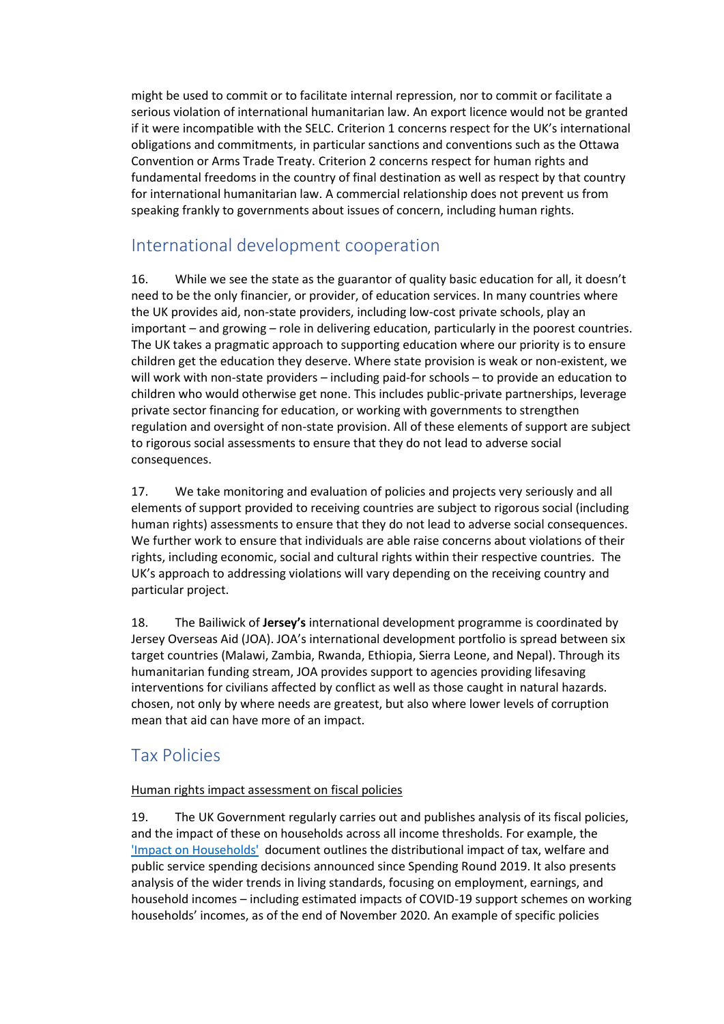might be used to commit or to facilitate internal repression, nor to commit or facilitate a serious violation of international humanitarian law. An export licence would not be granted if it were incompatible with the SELC. Criterion 1 concerns respect for the UK's international obligations and commitments, in particular sanctions and conventions such as the Ottawa Convention or Arms Trade Treaty. Criterion 2 concerns respect for human rights and fundamental freedoms in the country of final destination as well as respect by that country for international humanitarian law. A commercial relationship does not prevent us from speaking frankly to governments about issues of concern, including human rights.

# <span id="page-6-0"></span>International development cooperation

16. While we see the state as the guarantor of quality basic education for all, it doesn't need to be the only financier, or provider, of education services. In many countries where the UK provides aid, non-state providers, including low-cost private schools, play an important – and growing – role in delivering education, particularly in the poorest countries. The UK takes a pragmatic approach to supporting education where our priority is to ensure children get the education they deserve. Where state provision is weak or non-existent, we will work with non-state providers – including paid-for schools – to provide an education to children who would otherwise get none. This includes public-private partnerships, leverage private sector financing for education, or working with governments to strengthen regulation and oversight of non-state provision. All of these elements of support are subject to rigorous social assessments to ensure that they do not lead to adverse social consequences.

17. We take monitoring and evaluation of policies and projects very seriously and all elements of support provided to receiving countries are subject to rigorous social (including human rights) assessments to ensure that they do not lead to adverse social consequences. We further work to ensure that individuals are able raise concerns about violations of their rights, including economic, social and cultural rights within their respective countries. The UK's approach to addressing violations will vary depending on the receiving country and particular project.

18. The Bailiwick of **Jersey's** international development programme is coordinated by Jersey Overseas Aid (JOA). JOA's international development portfolio is spread between six target countries (Malawi, Zambia, Rwanda, Ethiopia, Sierra Leone, and Nepal). Through its humanitarian funding stream, JOA provides support to agencies providing lifesaving interventions for civilians affected by conflict as well as those caught in natural hazards. chosen, not only by where needs are greatest, but also where lower levels of corruption mean that aid can have more of an impact.

# <span id="page-6-1"></span>Tax Policies

#### Human rights impact assessment on fiscal policies

19. The UK Government regularly carries out and publishes analysis of its fiscal policies, and the impact of these on households across all income thresholds. For example, the ['Impact on Households'](https://assets.publishing.service.gov.uk/government/uploads/system/uploads/attachment_data/file/966207/DA_Document_Budget_2021.pdf) document outlines the distributional impact of tax, welfare and public service spending decisions announced since Spending Round 2019. It also presents analysis of the wider trends in living standards, focusing on employment, earnings, and household incomes – including estimated impacts of COVID-19 support schemes on working households' incomes, as of the end of November 2020. An example of specific policies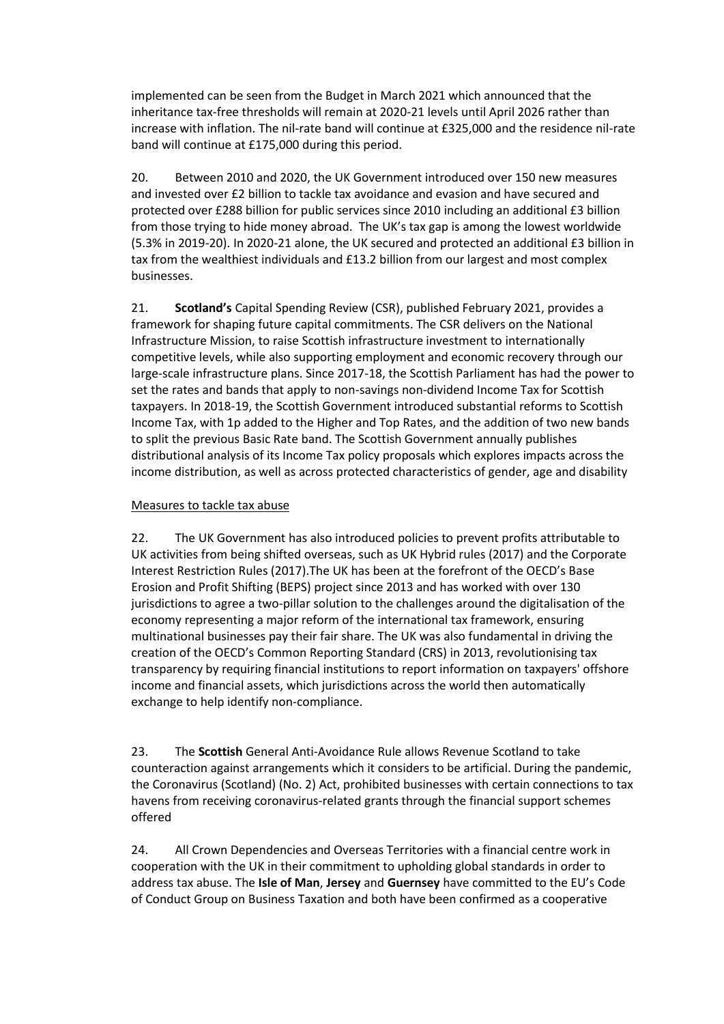implemented can be seen from the Budget in March 2021 which announced that the inheritance tax-free thresholds will remain at 2020-21 levels until April 2026 rather than increase with inflation. The nil-rate band will continue at £325,000 and the residence nil-rate band will continue at £175,000 during this period.

20. Between 2010 and 2020, the UK Government introduced over 150 new measures and invested over £2 billion to tackle tax avoidance and evasion and have secured and protected over £288 billion for public services since 2010 including an additional £3 billion from those trying to hide money abroad. The UK's tax gap is among the lowest worldwide (5.3% in 2019-20). In 2020-21 alone, the UK secured and protected an additional £3 billion in tax from the wealthiest individuals and £13.2 billion from our largest and most complex businesses.

21. **Scotland's** Capital Spending Review (CSR), published February 2021, provides a framework for shaping future capital commitments. The CSR delivers on the National Infrastructure Mission, to raise Scottish infrastructure investment to internationally competitive levels, while also supporting employment and economic recovery through our large-scale infrastructure plans. Since 2017-18, the Scottish Parliament has had the power to set the rates and bands that apply to non-savings non-dividend Income Tax for Scottish taxpayers. In 2018-19, the Scottish Government introduced substantial reforms to Scottish Income Tax, with 1p added to the Higher and Top Rates, and the addition of two new bands to split the previous Basic Rate band. The Scottish Government annually publishes distributional analysis of its Income Tax policy proposals which explores impacts across the income distribution, as well as across protected characteristics of gender, age and disability

#### Measures to tackle tax abuse

22. The UK Government has also introduced policies to prevent profits attributable to UK activities from being shifted overseas, such as UK Hybrid rules (2017) and the Corporate Interest Restriction Rules (2017).The UK has been at the forefront of the OECD's Base Erosion and Profit Shifting (BEPS) project since 2013 and has worked with over 130 jurisdictions to agree a two-pillar solution to the challenges around the digitalisation of the economy representing a major reform of the international tax framework, ensuring multinational businesses pay their fair share. The UK was also fundamental in driving the creation of the OECD's Common Reporting Standard (CRS) in 2013, revolutionising tax transparency by requiring financial institutions to report information on taxpayers' offshore income and financial assets, which jurisdictions across the world then automatically exchange to help identify non-compliance.

23. The **Scottish** General Anti-Avoidance Rule allows Revenue Scotland to take counteraction against arrangements which it considers to be artificial. During the pandemic, the Coronavirus (Scotland) (No. 2) Act, prohibited businesses with certain connections to tax havens from receiving coronavirus-related grants through the financial support schemes offered

24. All Crown Dependencies and Overseas Territories with a financial centre work in cooperation with the UK in their commitment to upholding global standards in order to address tax abuse. The **Isle of Man**, **Jersey** and **Guernsey** have committed to the EU's Code of Conduct Group on Business Taxation and both have been confirmed as a cooperative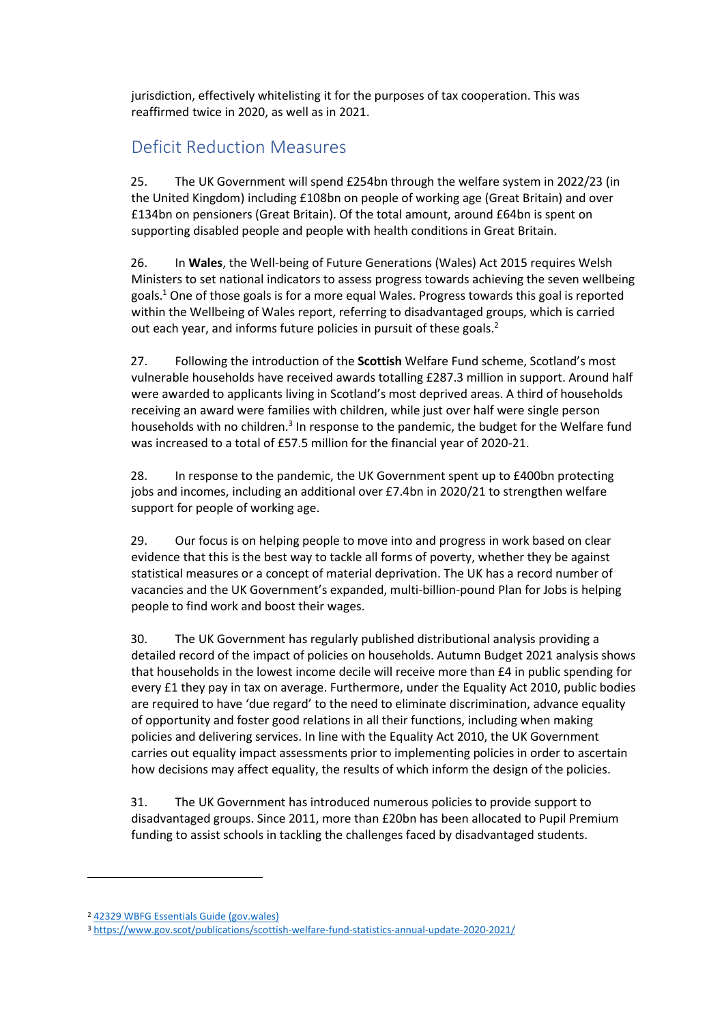jurisdiction, effectively whitelisting it for the purposes of tax cooperation. This was reaffirmed twice in 2020, as well as in 2021.

## <span id="page-8-0"></span>Deficit Reduction Measures

25. The UK Government will spend £254bn through the welfare system in 2022/23 (in the United Kingdom) including £108bn on people of working age (Great Britain) and over £134bn on pensioners (Great Britain). Of the total amount, around £64bn is spent on supporting disabled people and people with health conditions in Great Britain.

26. In **Wales**, the Well-being of Future Generations (Wales) Act 2015 requires Welsh Ministers to set [national indicators to assess progress towards achieving the seven wellbeing](https://gov.wales/wellbeing-wales-national-indicators)  [goals.](https://gov.wales/wellbeing-wales-national-indicators) <sup>1</sup> One of those goals is for a more equal Wales. Progress towards this goal is reported within the Wellbeing of Wales report, referring to disadvantaged groups, which is carried out each year, and informs future policies in pursuit of these goals.<sup>2</sup>

27. Following the introduction of the **Scottish** Welfare Fund scheme, Scotland's most vulnerable households have received awards totalling £287.3 million in support. Around half were awarded to applicants living in Scotland's most deprived areas. A third of households receiving an award were families with children, while just over half were single person households with no children.<sup>3</sup> In response to the pandemic, the budget for the Welfare fund was increased to a total of £57.5 million for the financial year of 2020-21.

28. In response to the pandemic, the UK Government spent up to £400bn protecting jobs and incomes, including an additional over £7.4bn in 2020/21 to strengthen welfare support for people of working age.

29. Our focus is on helping people to move into and progress in work based on clear evidence that this is the best way to tackle all forms of poverty, whether they be against statistical measures or a concept of material deprivation. The UK has a record number of vacancies and the UK Government's expanded, multi-billion-pound Plan for Jobs is helping people to find work and boost their wages.

30. The UK Government has regularly published distributional analysis providing a detailed record of the impact of policies on households. Autumn Budget 2021 analysis shows that households in the lowest income decile will receive more than £4 in public spending for every £1 they pay in tax on average. Furthermore, under the Equality Act 2010, public bodies are required to have 'due regard' to the need to eliminate discrimination, advance equality of opportunity and foster good relations in all their functions, including when making policies and delivering services. In line with the Equality Act 2010, the UK Government carries out equality impact assessments prior to implementing policies in order to ascertain how decisions may affect equality, the results of which inform the design of the policies.

31. The UK Government has introduced numerous policies to provide support to disadvantaged groups. Since 2011, more than £20bn has been allocated to Pupil Premium funding to assist schools in tackling the challenges faced by disadvantaged students.

<sup>2</sup> [42329 WBFG Essentials Guide \(gov.wales\)](https://gov.wales/sites/default/files/publications/2021-10/well-being-future-generations-wales-act-2015-the-essentials-2021.pdf)

<sup>3</sup> <https://www.gov.scot/publications/scottish-welfare-fund-statistics-annual-update-2020-2021/>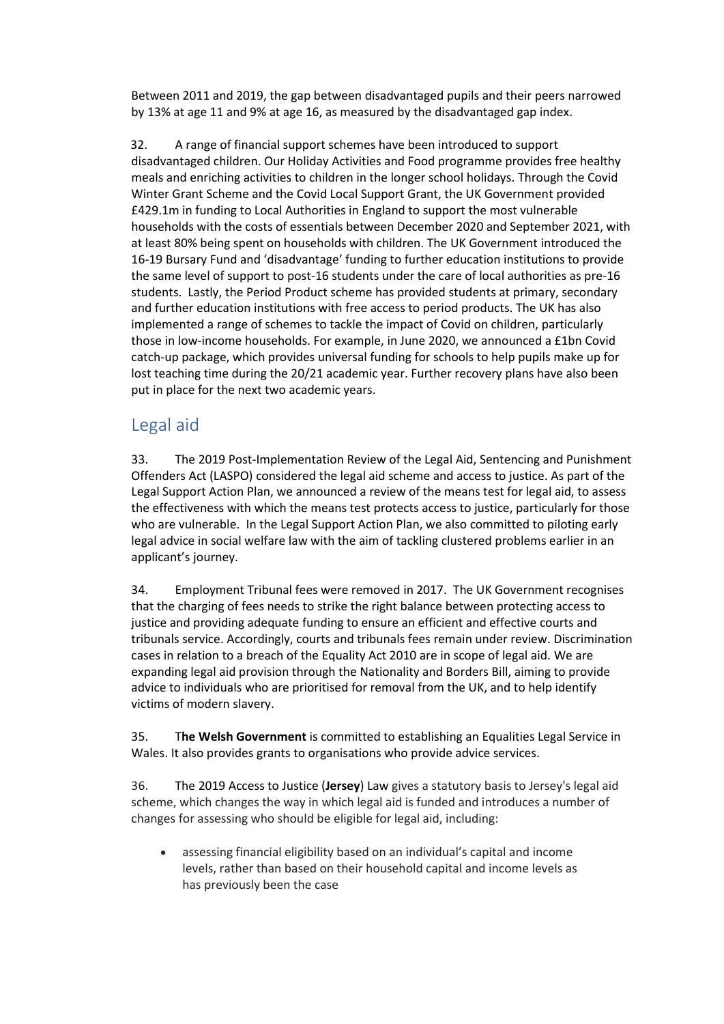Between 2011 and 2019, the gap between disadvantaged pupils and their peers narrowed by 13% at age 11 and 9% at age 16, as measured by the disadvantaged gap index.

32. A range of financial support schemes have been introduced to support disadvantaged children. Our Holiday Activities and Food programme provides free healthy meals and enriching activities to children in the longer school holidays. Through the Covid Winter Grant Scheme and the Covid Local Support Grant, the UK Government provided £429.1m in funding to Local Authorities in England to support the most vulnerable households with the costs of essentials between December 2020 and September 2021, with at least 80% being spent on households with children. The UK Government introduced the 16-19 Bursary Fund and 'disadvantage' funding to further education institutions to provide the same level of support to post-16 students under the care of local authorities as pre-16 students. Lastly, the Period Product scheme has provided students at primary, secondary and further education institutions with free access to period products. The UK has also implemented a range of schemes to tackle the impact of Covid on children, particularly those in low-income households. For example, in June 2020, we announced a £1bn Covid catch-up package, which provides universal funding for schools to help pupils make up for lost teaching time during the 20/21 academic year. Further recovery plans have also been put in place for the next two academic years.

## <span id="page-9-0"></span>Legal aid

33. The 2019 Post-Implementation Review of the Legal Aid, Sentencing and Punishment Offenders Act (LASPO) considered the legal aid scheme and access to justice. As part of the Legal Support Action Plan, we announced a review of the means test for legal aid, to assess the effectiveness with which the means test protects access to justice, particularly for those who are vulnerable. In the Legal Support Action Plan, we also committed to piloting early legal advice in social welfare law with the aim of tackling clustered problems earlier in an applicant's journey.

34. Employment Tribunal fees were removed in 2017. The UK Government recognises that the charging of fees needs to strike the right balance between protecting access to justice and providing adequate funding to ensure an efficient and effective courts and tribunals service. Accordingly, courts and tribunals fees remain under review. Discrimination cases in relation to a breach of the Equality Act 2010 are in scope of legal aid. We are expanding legal aid provision through the Nationality and Borders Bill, aiming to provide advice to individuals who are prioritised for removal from the UK, and to help identify victims of modern slavery.

35. T**he Welsh Government** is committed to establishing an Equalities Legal Service in Wales. It also provides grants to organisations who provide advice services.

36. The 2019 Access to Justice (**Jersey**) Law gives a statutory basis to Jersey's legal aid scheme, which changes the way in which legal aid is funded and introduces a number of changes for assessing who should be eligible for legal aid, including:

• assessing financial eligibility based on an individual's capital and income levels, rather than based on their household capital and income levels as has previously been the case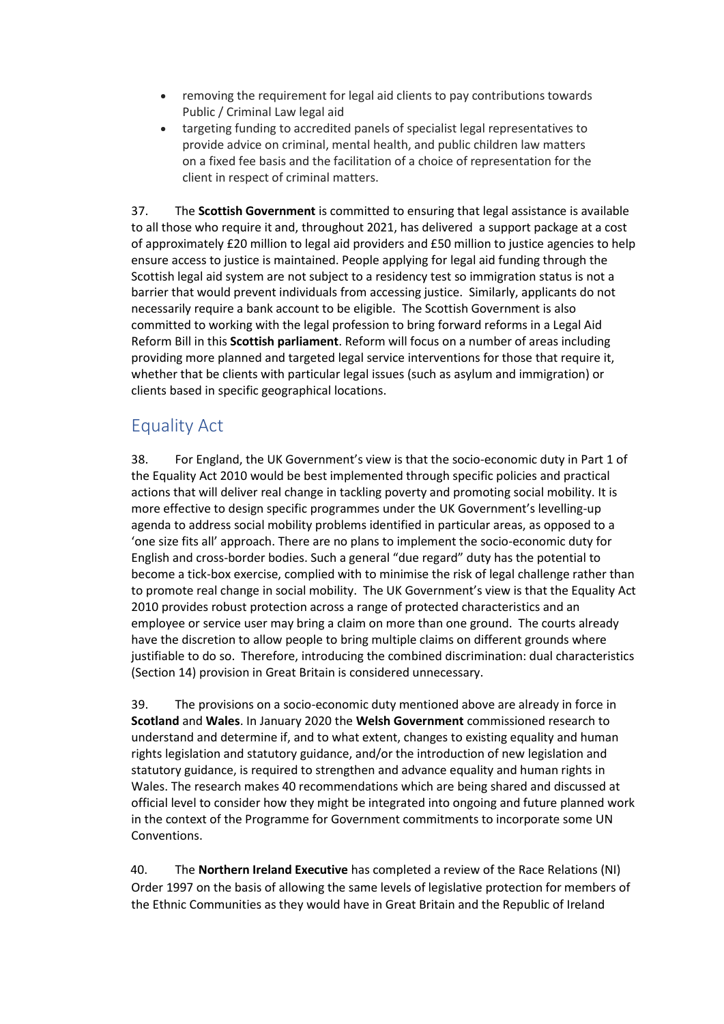- removing the requirement for legal aid clients to pay contributions towards Public / Criminal Law legal aid
- targeting funding to accredited panels of specialist legal representatives to provide advice on criminal, mental health, and public children law matters on a fixed fee basis and the facilitation of a choice of representation for the client in respect of criminal matters.

37. The **Scottish Government** is committed to ensuring that legal assistance is available to all those who require it and, throughout 2021, has delivered a support package at a cost of approximately £20 million to legal aid providers and £50 million to justice agencies to help ensure access to justice is maintained. People applying for legal aid funding through the Scottish legal aid system are not subject to a residency test so immigration status is not a barrier that would prevent individuals from accessing justice. Similarly, applicants do not necessarily require a bank account to be eligible. The Scottish Government is also committed to working with the legal profession to bring forward reforms in a Legal Aid Reform Bill in this **Scottish parliament**. Reform will focus on a number of areas including providing more planned and targeted legal service interventions for those that require it, whether that be clients with particular legal issues (such as asylum and immigration) or clients based in specific geographical locations.

## <span id="page-10-0"></span>Equality Act

38. For England, the UK Government's view is that the socio-economic duty in Part 1 of the Equality Act 2010 would be best implemented through specific policies and practical actions that will deliver real change in tackling poverty and promoting social mobility. It is more effective to design specific programmes under the UK Government's levelling-up agenda to address social mobility problems identified in particular areas, as opposed to a 'one size fits all' approach. There are no plans to implement the socio-economic duty for English and cross-border bodies. Such a general "due regard" duty has the potential to become a tick-box exercise, complied with to minimise the risk of legal challenge rather than to promote real change in social mobility. The UK Government's view is that the Equality Act 2010 provides robust protection across a range of protected characteristics and an employee or service user may bring a claim on more than one ground. The courts already have the discretion to allow people to bring multiple claims on different grounds where justifiable to do so. Therefore, introducing the combined discrimination: dual characteristics (Section 14) provision in Great Britain is considered unnecessary.

39. The provisions on a socio-economic duty mentioned above are already in force in **Scotland** and **Wales**. In January 2020 the **Welsh Government** commissioned research to understand and determine if, and to what extent, changes to existing equality and human rights legislation and statutory guidance, and/or the introduction of new legislation and statutory guidance, is required to strengthen and advance equality and human rights in Wales. The research makes 40 recommendations which are being shared and discussed at official level to consider how they might be integrated into ongoing and future planned work in the context of the Programme for Government commitments to incorporate some UN Conventions.

40. The **Northern Ireland Executive** has completed a review of the Race Relations (NI) Order 1997 on the basis of allowing the same levels of legislative protection for members of the Ethnic Communities as they would have in Great Britain and the Republic of Ireland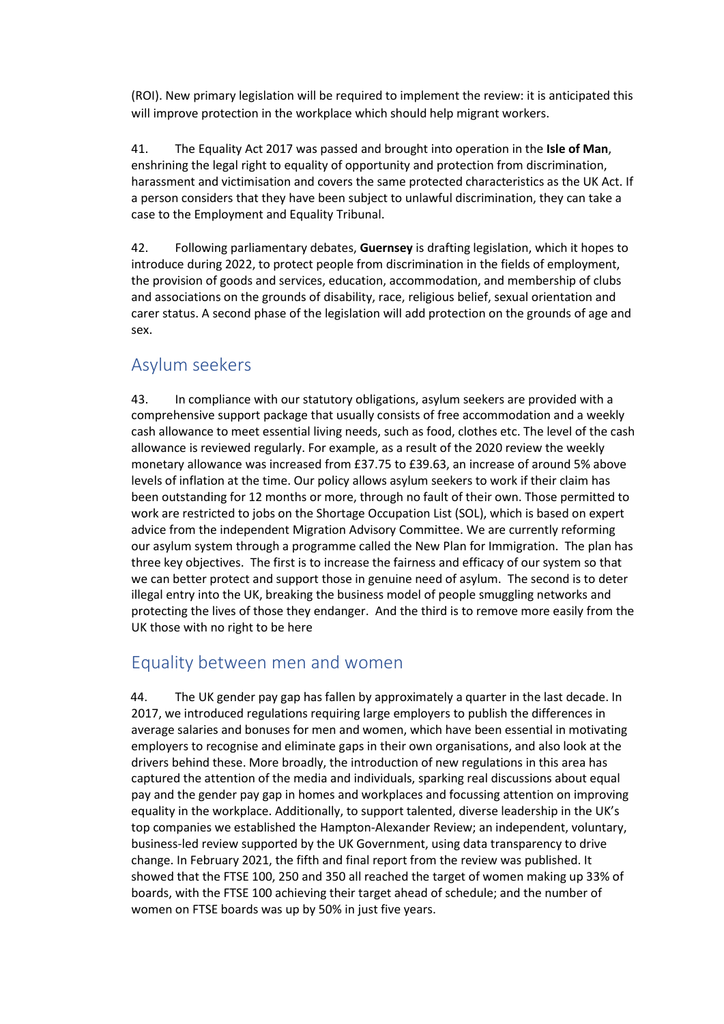(ROI). New primary legislation will be required to implement the review: it is anticipated this will improve protection in the workplace which should help migrant workers.

41. The Equality Act 2017 was passed and brought into operation in the **Isle of Man**, enshrining the legal right to equality of opportunity and protection from discrimination, harassment and victimisation and covers the same protected characteristics as the UK Act. If a person considers that they have been subject to unlawful discrimination, they can take a case to the Employment and Equality Tribunal.

42. Following parliamentary debates, **Guernsey** is drafting legislation, which it hopes to introduce during 2022, to protect people from discrimination in the fields of employment, the provision of goods and services, education, accommodation, and membership of clubs and associations on the grounds of disability, race, religious belief, sexual orientation and carer status. A second phase of the legislation will add protection on the grounds of age and sex.

### <span id="page-11-0"></span>Asylum seekers

43. In compliance with our statutory obligations, asylum seekers are provided with a comprehensive support package that usually consists of free accommodation and a weekly cash allowance to meet essential living needs, such as food, clothes etc. The level of the cash allowance is reviewed regularly. For example, as a result of the 2020 review the weekly monetary allowance was increased from £37.75 to £39.63, an increase of around 5% above levels of inflation at the time. Our policy allows asylum seekers to work if their claim has been outstanding for 12 months or more, through no fault of their own. Those permitted to work are restricted to jobs on the Shortage Occupation List (SOL), which is based on expert advice from the independent Migration Advisory Committee. We are currently reforming our asylum system through a programme called the New Plan for Immigration. The plan has three key objectives. The first is to increase the fairness and efficacy of our system so that we can better protect and support those in genuine need of asylum. The second is to deter illegal entry into the UK, breaking the business model of people smuggling networks and protecting the lives of those they endanger. And the third is to remove more easily from the UK those with no right to be here

## <span id="page-11-1"></span>Equality between men and women

44. The UK gender pay gap has fallen by approximately a quarter in the last decade. In 2017, we introduced regulations requiring large employers to publish the differences in average salaries and bonuses for men and women, which have been essential in motivating employers to recognise and eliminate gaps in their own organisations, and also look at the drivers behind these. More broadly, the introduction of new regulations in this area has captured the attention of the media and individuals, sparking real discussions about equal pay and the gender pay gap in homes and workplaces and focussing attention on improving equality in the workplace. Additionally, to support talented, diverse leadership in the UK's top companies we established the Hampton-Alexander Review; an independent, voluntary, business-led review supported by the UK Government, using data transparency to drive change. In February 2021, the fifth and final report from the review was published. It showed that the FTSE 100, 250 and 350 all reached the target of women making up 33% of boards, with the FTSE 100 achieving their target ahead of schedule; and the number of women on FTSE boards was up by 50% in just five years.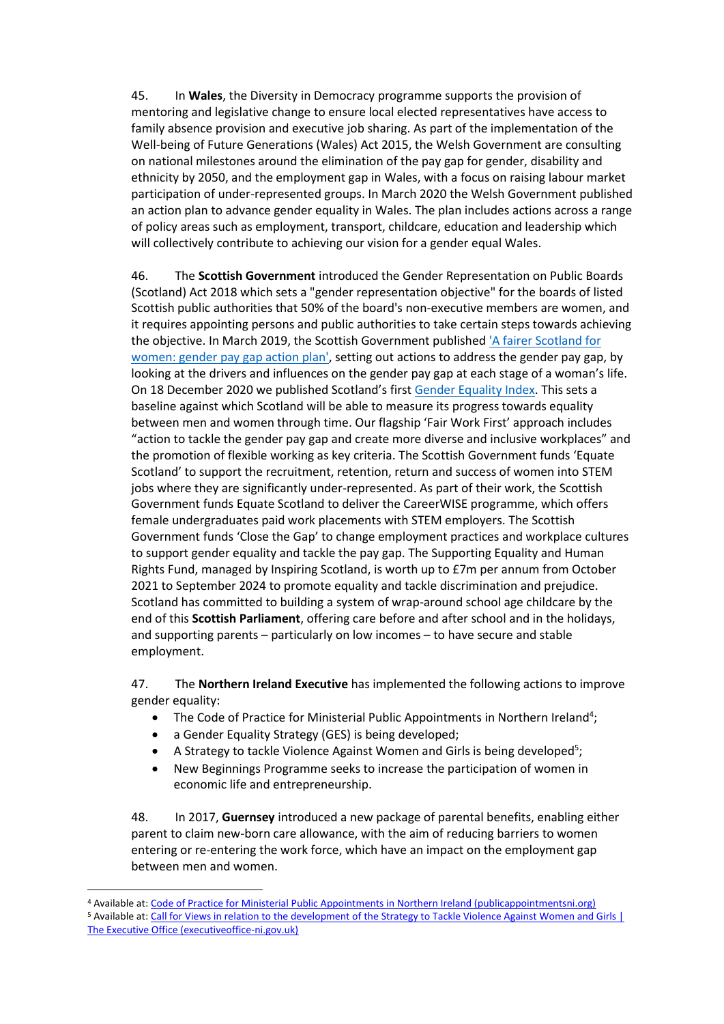45. In **Wales**, the Diversity in Democracy programme supports the provision of mentoring and legislative change to ensure local elected representatives have access to family absence provision and executive job sharing. As part of the implementation of the Well-being of Future Generations (Wales) Act 2015, the Welsh Government are consulting on national milestones around the elimination of the pay gap for gender, disability and ethnicity by 2050, and the employment gap in Wales, with a focus on raising labour market participation of under-represented groups. In March 2020 the Welsh Government published an action plan to advance gender equality in Wales. The plan includes actions across a range of policy areas such as employment, transport, childcare, education and leadership which will collectively contribute to achieving our vision for a gender equal Wales.

46. The **Scottish Government** introduced the Gender Representation on Public Boards (Scotland) Act 2018 which sets a "gender representation objective" for the boards of listed Scottish public authorities that 50% of the board's non-executive members are women, and it requires appointing persons and public authorities to take certain steps towards achieving the objective. In March 2019, the Scottish Government published ['A fairer Scotland for](https://www.gov.scot/publications/fairer-scotland-women-gender-pay-gap-action-plan/)  [women: gender pay gap action plan',](https://www.gov.scot/publications/fairer-scotland-women-gender-pay-gap-action-plan/) setting out actions to address the gender pay gap, by looking at the drivers and influences on the gender pay gap at each stage of a woman's life. On 18 December 2020 we published Scotland's first [Gender Equality Index.](https://data.gov.scot/genderindex/gender-equality-index-2020.html) This sets a baseline against which Scotland will be able to measure its progress towards equality between men and women through time. Our flagship 'Fair Work First' approach includes "action to tackle the gender pay gap and create more diverse and inclusive workplaces" and the promotion of flexible working as key criteria. The Scottish Government funds 'Equate Scotland' to support the recruitment, retention, return and success of women into STEM jobs where they are significantly under-represented. As part of their work, the Scottish Government funds Equate Scotland to deliver the CareerWISE programme, which offers female undergraduates paid work placements with STEM employers. The Scottish Government funds 'Close the Gap' to change employment practices and workplace cultures to support gender equality and tackle the pay gap. The Supporting Equality and Human Rights Fund, managed by Inspiring Scotland, is worth up to £7m per annum from October 2021 to September 2024 to promote equality and tackle discrimination and prejudice. Scotland has committed to building a system of wrap-around school age childcare by the end of this **Scottish Parliament**, offering care before and after school and in the holidays, and supporting parents – particularly on low incomes – to have secure and stable employment.

47. The **Northern Ireland Executive** has implemented the following actions to improve gender equality:

- The Code of Practice for Ministerial Public Appointments in Northern Ireland<sup>4</sup>;
- a Gender Equality Strategy (GES) is being developed;
- A Strategy to tackle Violence Against Women and Girls is being developed<sup>5</sup>;
- New Beginnings Programme seeks to increase the participation of women in economic life and entrepreneurship.

48. In 2017, **Guernsey** introduced a new package of parental benefits, enabling either parent to claim new-born care allowance, with the aim of reducing barriers to women entering or re-entering the work force, which have an impact on the employment gap between men and women.

<sup>4</sup> Available at[: Code of Practice for Ministerial Public Appointments in Northern Ireland \(publicappointmentsni.org\)](https://www.publicappointmentsni.org/sites/cpani/files/media-files/CPANI_Code_of_Practice_JL2_December_2016.pdf) <sup>5</sup> Available at[: Call for Views in relation to the development of the Strategy to Tackle Violence Against Women and Girls |](https://www.executiveoffice-ni.gov.uk/consultations/call-views-relation-development-strategy-tackle-violence-against-women-and-girls)  [The Executive Office \(executiveoffice-ni.gov.uk\)](https://www.executiveoffice-ni.gov.uk/consultations/call-views-relation-development-strategy-tackle-violence-against-women-and-girls)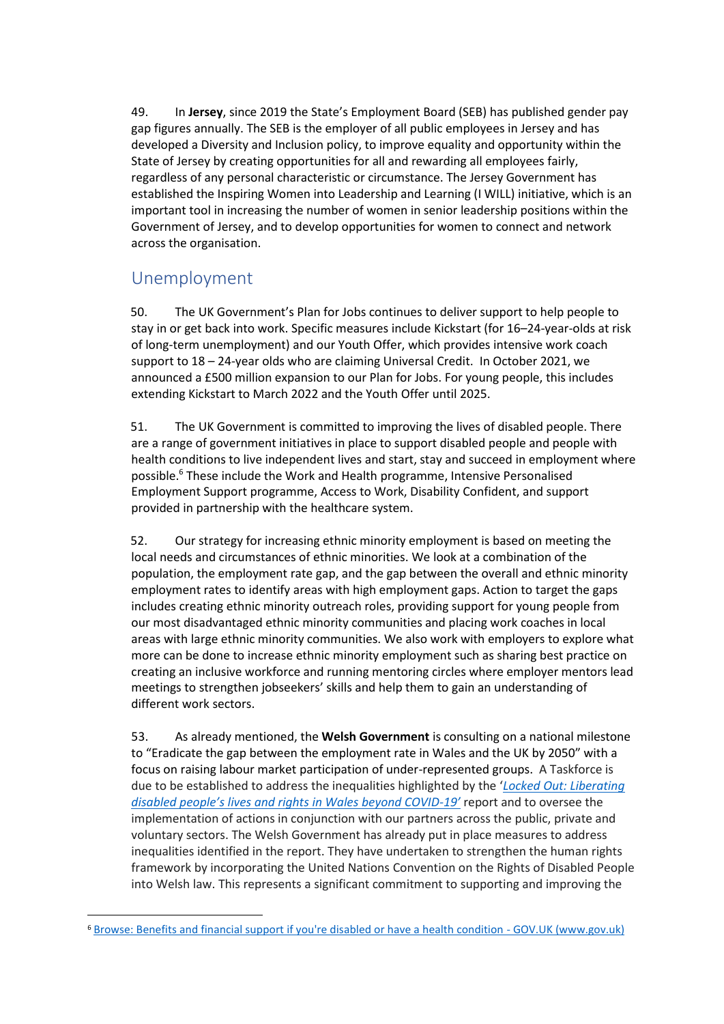49. In **Jersey**, since 2019 the State's Employment Board (SEB) has published gender pay gap figures annually. The SEB is the employer of all public employees in Jersey and has developed a Diversity and Inclusion policy, to improve equality and opportunity within the State of Jersey by creating opportunities for all and rewarding all employees fairly, regardless of any personal characteristic or circumstance. The Jersey Government has established the Inspiring Women into Leadership and Learning (I WILL) initiative, which is an important tool in increasing the number of women in senior leadership positions within the Government of Jersey, and to develop opportunities for women to connect and network across the organisation.

## <span id="page-13-0"></span>Unemployment

50. The UK Government's Plan for Jobs continues to deliver support to help people to stay in or get back into work. Specific measures include Kickstart (for 16–24-year-olds at risk of long-term unemployment) and our Youth Offer, which provides intensive work coach support to 18 – 24-year olds who are claiming Universal Credit. In October 2021, we announced a £500 million expansion to our Plan for Jobs. For young people, this includes extending Kickstart to March 2022 and the Youth Offer until 2025.

51. The UK Government is committed to improving the lives of disabled people. There are a range of government initiatives in place to support disabled people and people with health conditions to live independent lives and start, stay and succeed in employment where possible.<sup>6</sup> These include the Work and Health programme, Intensive Personalised Employment Support programme, Access to Work, Disability Confident, and support provided in partnership with the healthcare system.

52. Our strategy for increasing ethnic minority employment is based on meeting the local needs and circumstances of ethnic minorities. We look at a combination of the population, the employment rate gap, and the gap between the overall and ethnic minority employment rates to identify areas with high employment gaps. Action to target the gaps includes creating ethnic minority outreach roles, providing support for young people from our most disadvantaged ethnic minority communities and placing work coaches in local areas with large ethnic minority communities. We also work with employers to explore what more can be done to increase ethnic minority employment such as sharing best practice on creating an inclusive workforce and running mentoring circles where employer mentors lead meetings to strengthen jobseekers' skills and help them to gain an understanding of different work sectors.

53. As already mentioned, the **Welsh Government** is consulting on a national milestone to "Eradicate the gap between the employment rate in Wales and the UK by 2050" with a focus on raising labour market participation of under-represented groups. A Taskforce is due to be established to address the inequalities highlighted by the '*[Locked Out: Liberating](https://gov.wales/locked-out-liberating-disabled-peoples-lives-and-rights-wales-beyond-covid-19)  [disabled people's lives and rights](https://gov.wales/locked-out-liberating-disabled-peoples-lives-and-rights-wales-beyond-covid-19) in Wales beyond COVID-19'* report and to oversee the implementation of actions in conjunction with our partners across the public, private and voluntary sectors. The Welsh Government has already put in place measures to address inequalities identified in the report. They have undertaken to strengthen the human rights framework by incorporating the United Nations Convention on the Rights of Disabled People into Welsh law. This represents a significant commitment to supporting and improving the

<sup>6</sup> [Browse: Benefits and financial support if you're disabled or have a health condition -](https://www.gov.uk/browse/benefits/disability) GOV.UK (www.gov.uk)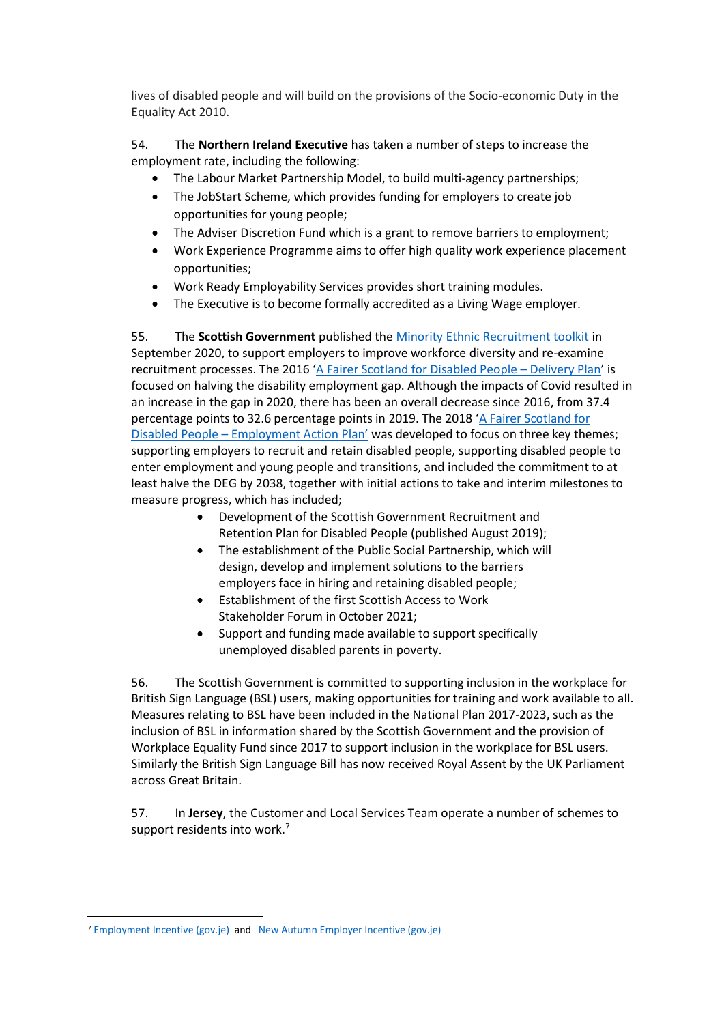lives of disabled people and will build on the provisions of the Socio-economic Duty in the Equality Act 2010.

54. The **Northern Ireland Executive** has taken a number of steps to increase the employment rate, including the following:

- The Labour Market Partnership Model, to build multi-agency partnerships;
- The JobStart Scheme, which provides funding for employers to create job opportunities for young people;
- The Adviser Discretion Fund which is a grant to remove barriers to employment;
- Work Experience Programme aims to offer high quality work experience placement opportunities;
- Work Ready Employability Services provides short training modules.
- The Executive is to become formally accredited as a Living Wage employer.

55. The **Scottish Government** published th[e Minority Ethnic Recruitment toolkit](https://www.gov.scot/publications/minority-ethnic-recruitment-toolkit/documents/) in September 2020, to support employers to improve workforce diversity and re-examine recruitment processes. The 2016 '[A Fairer Scotland for Disabled People](https://www.gov.scot/publications/fairer-scotland-disabled-people-delivery-plan-2021-united-nations-convention/) – Delivery Plan' is focused on halving the disability employment gap. Although the impacts of Covid resulted in an increase in the gap in 2020, there has been an overall decrease since 2016, from 37.4 percentage points to 32.6 percentage points in 2019. The 2018 'A Fairer Scotland for Disabled People – [Employment Action Plan'](https://www.gov.scot/publications/fairer-scotland-disabled-people-employment-action-plan/) was developed to focus on three key themes; supporting employers to recruit and retain disabled people, supporting disabled people to enter employment and young people and transitions, and included the commitment to at least halve the DEG by 2038, together with initial actions to take and interim milestones to measure progress, which has included;

- Development of the Scottish Government Recruitment and Retention Plan for Disabled People (published August 2019);
- The establishment of the Public Social Partnership, which will design, develop and implement solutions to the barriers employers face in hiring and retaining disabled people;
- Establishment of the first Scottish Access to Work Stakeholder Forum in October 2021;
- Support and funding made available to support specifically unemployed disabled parents in poverty.

56. The Scottish Government is committed to supporting inclusion in the workplace for British Sign Language (BSL) users, making opportunities for training and work available to all. Measures relating to BSL have been included in the National Plan 2017-2023, such as the inclusion of BSL in information shared by the Scottish Government and the provision of Workplace Equality Fund since 2017 to support inclusion in the workplace for BSL users. Similarly the British Sign Language Bill has now received Royal Assent by the UK Parliament across Great Britain.

57. In **Jersey**, the Customer and Local Services Team operate a number of schemes to support residents into work.<sup>7</sup>

<sup>&</sup>lt;sup>7</sup> [Employment Incentive \(gov.je\)](https://www.gov.je/working/backtowork/pages/employersemploymentincentive.aspx) and [New Autumn Employer Incentive \(gov.je\)](https://www.gov.je/News/2021/Pages/AutumnEmployerIncentive.aspx)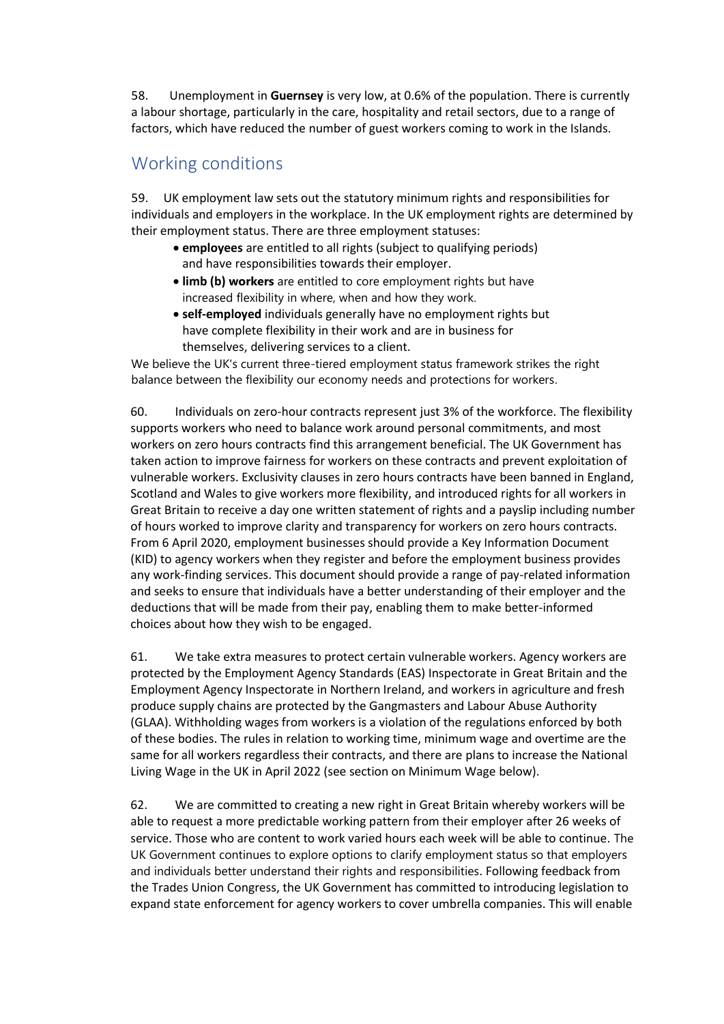58. Unemployment in **Guernsey** is very low, at 0.6% of the population. There is currently a labour shortage, particularly in the care, hospitality and retail sectors, due to a range of factors, which have reduced the number of guest workers coming to work in the Islands.

## <span id="page-15-0"></span>Working conditions

59. UK employment law sets out the statutory minimum rights and responsibilities for individuals and employers in the workplace. In the UK employment rights are determined by their employment status. There are three employment statuses:

- **employees** are entitled to all rights (subject to qualifying periods) and have responsibilities towards their employer.
- **limb (b) workers** are entitled to core employment rights but have increased flexibility in where, when and how they work.
- **self-employed** individuals generally have no employment rights but have complete flexibility in their work and are in business for themselves, delivering services to a client.

We believe the UK's current three-tiered employment status framework strikes the right balance between the flexibility our economy needs and protections for workers.

60. Individuals on zero-hour contracts represent just 3% of the workforce. The flexibility supports workers who need to balance work around personal commitments, and most workers on zero hours contracts find this arrangement beneficial. The UK Government has taken action to improve fairness for workers on these contracts and prevent exploitation of vulnerable workers. Exclusivity clauses in zero hours contracts have been banned in England, Scotland and Wales to give workers more flexibility, and introduced rights for all workers in Great Britain to receive a day one written statement of rights and a payslip including number of hours worked to improve clarity and transparency for workers on zero hours contracts. From 6 April 2020, employment businesses should provide a Key Information Document (KID) to agency workers when they register and before the employment business provides any work-finding services. This document should provide a range of pay-related information and seeks to ensure that individuals have a better understanding of their employer and the deductions that will be made from their pay, enabling them to make better-informed choices about how they wish to be engaged.

61. We take extra measures to protect certain vulnerable workers. Agency workers are protected by the Employment Agency Standards (EAS) Inspectorate in Great Britain and the Employment Agency Inspectorate in Northern Ireland, and workers in agriculture and fresh produce supply chains are protected by the Gangmasters and Labour Abuse Authority (GLAA). Withholding wages from workers is a violation of the regulations enforced by both of these bodies. The rules in relation to working time, minimum wage and overtime are the same for all workers regardless their contracts, and there are plans to increase the National Living Wage in the UK in April 2022 (see section on Minimum Wage below).

62. We are committed to creating a new right in Great Britain whereby workers will be able to request a more predictable working pattern from their employer after 26 weeks of service. Those who are content to work varied hours each week will be able to continue. The UK Government continues to explore options to clarify employment status so that employers and individuals better understand their rights and responsibilities. Following feedback from the Trades Union Congress, the UK Government has committed to introducing legislation to expand state enforcement for agency workers to cover umbrella companies. This will enable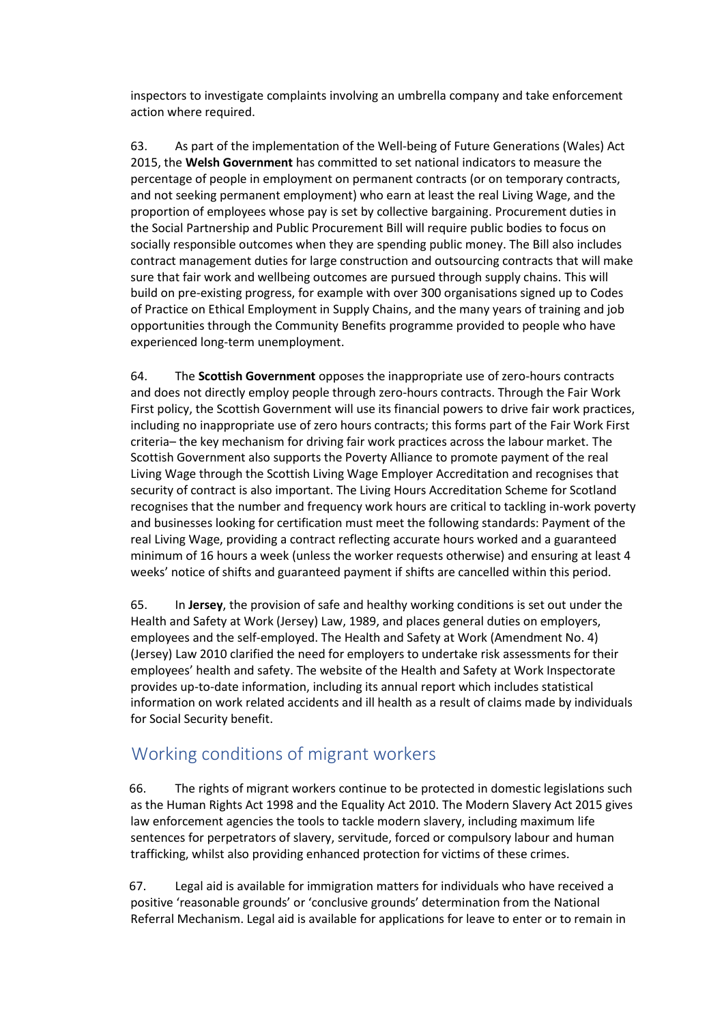inspectors to investigate complaints involving an umbrella company and take enforcement action where required.

63. As part of the implementation of the Well-being of Future Generations (Wales) Act 2015, the **Welsh Government** has committed to set national indicators to measure the percentage of people in employment on permanent contracts (or on temporary contracts, and not seeking permanent employment) who earn at least the real Living Wage, and the proportion of employees whose pay is set by collective bargaining. Procurement duties in the Social Partnership and Public Procurement Bill will require public bodies to focus on socially responsible outcomes when they are spending public money. The Bill also includes contract management duties for large construction and outsourcing contracts that will make sure that fair work and wellbeing outcomes are pursued through supply chains. This will build on pre-existing progress, for example with over 300 organisations signed up to Codes of Practice on Ethical Employment in Supply Chains, and the many years of training and job opportunities through the Community Benefits programme provided to people who have experienced long-term unemployment.

64. The **Scottish Government** opposes the inappropriate use of zero-hours contracts and does not directly employ people through zero-hours contracts. Through the Fair Work First policy, the Scottish Government will use its financial powers to drive fair work practices, including no inappropriate use of zero hours contracts; this forms part of the Fair Work First criteria– the key mechanism for driving fair work practices across the labour market. The Scottish Government also supports the Poverty Alliance to promote payment of the real Living Wage through the Scottish Living Wage Employer Accreditation and recognises that security of contract is also important. The Living Hours Accreditation Scheme for Scotland recognises that the number and frequency work hours are critical to tackling in-work poverty and businesses looking for certification must meet the following standards: Payment of the real Living Wage, providing a contract reflecting accurate hours worked and a guaranteed minimum of 16 hours a week (unless the worker requests otherwise) and ensuring at least 4 weeks' notice of shifts and guaranteed payment if shifts are cancelled within this period.

65. In **Jersey**, the provision of safe and healthy working conditions is set out under the Health and Safety at Work (Jersey) Law, 1989, and places general duties on employers, employees and the self-employed. The Health and Safety at Work (Amendment No. 4) (Jersey) Law 2010 clarified the need for employers to undertake risk assessments for their employees' health and safety. The website of the Health and Safety at Work Inspectorate provides up-to-date information, including its annual report which includes statistical information on work related accidents and ill health as a result of claims made by individuals for Social Security benefit.

## <span id="page-16-0"></span>Working conditions of migrant workers

66. The rights of migrant workers continue to be protected in domestic legislations such as the Human Rights Act 1998 and the Equality Act 2010. The Modern Slavery Act 2015 gives law enforcement agencies the tools to tackle modern slavery, including maximum life sentences for perpetrators of slavery, servitude, forced or compulsory labour and human trafficking, whilst also providing enhanced protection for victims of these crimes.

67. Legal aid is available for immigration matters for individuals who have received a positive 'reasonable grounds' or 'conclusive grounds' determination from the National Referral Mechanism. Legal aid is available for applications for leave to enter or to remain in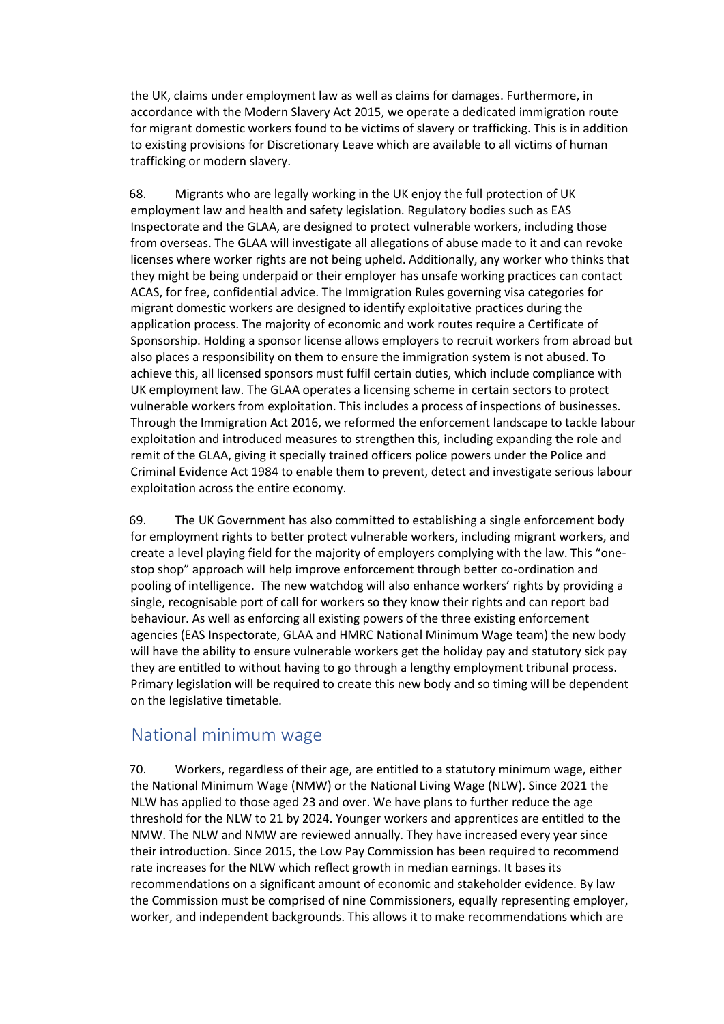the UK, claims under employment law as well as claims for damages. Furthermore, in accordance with the Modern Slavery Act 2015, we operate a dedicated immigration route for migrant domestic workers found to be victims of slavery or trafficking. This is in addition to existing provisions for Discretionary Leave which are available to all victims of human trafficking or modern slavery.

68. Migrants who are legally working in the UK enjoy the full protection of UK employment law and health and safety legislation. Regulatory bodies such as EAS Inspectorate and the GLAA, are designed to protect vulnerable workers, including those from overseas. The GLAA will investigate all allegations of abuse made to it and can revoke licenses where worker rights are not being upheld. Additionally, any worker who thinks that they might be being underpaid or their employer has unsafe working practices can contact ACAS, for free, confidential advice. The Immigration Rules governing visa categories for migrant domestic workers are designed to identify exploitative practices during the application process. The majority of economic and work routes require a Certificate of Sponsorship. Holding a sponsor license allows employers to recruit workers from abroad but also places a responsibility on them to ensure the immigration system is not abused. To achieve this, all licensed sponsors must fulfil certain duties, which include compliance with UK employment law. The GLAA operates a licensing scheme in certain sectors to protect vulnerable workers from exploitation. This includes a process of inspections of businesses. Through the Immigration Act 2016, we reformed the enforcement landscape to tackle labour exploitation and introduced measures to strengthen this, including expanding the role and remit of the GLAA, giving it specially trained officers police powers under the Police and Criminal Evidence Act 1984 to enable them to prevent, detect and investigate serious labour exploitation across the entire economy.

69. The UK Government has also committed to establishing a single enforcement body for employment rights to better protect vulnerable workers, including migrant workers, and create a level playing field for the majority of employers complying with the law. This "onestop shop" approach will help improve enforcement through better co-ordination and pooling of intelligence. The new watchdog will also enhance workers' rights by providing a single, recognisable port of call for workers so they know their rights and can report bad behaviour. As well as enforcing all existing powers of the three existing enforcement agencies (EAS Inspectorate, GLAA and HMRC National Minimum Wage team) the new body will have the ability to ensure vulnerable workers get the holiday pay and statutory sick pay they are entitled to without having to go through a lengthy employment tribunal process. Primary legislation will be required to create this new body and so timing will be dependent on the legislative timetable.

### <span id="page-17-0"></span>National minimum wage

70. Workers, regardless of their age, are entitled to a statutory minimum wage, either the National Minimum Wage (NMW) or the National Living Wage (NLW). Since 2021 the NLW has applied to those aged 23 and over. We have plans to further reduce the age threshold for the NLW to 21 by 2024. Younger workers and apprentices are entitled to the NMW. The NLW and NMW are reviewed annually. They have increased every year since their introduction. Since 2015, the Low Pay Commission has been required to recommend rate increases for the NLW which reflect growth in median earnings. It bases its recommendations on a significant amount of economic and stakeholder evidence. By law the Commission must be comprised of nine Commissioners, equally representing employer, worker, and independent backgrounds. This allows it to make recommendations which are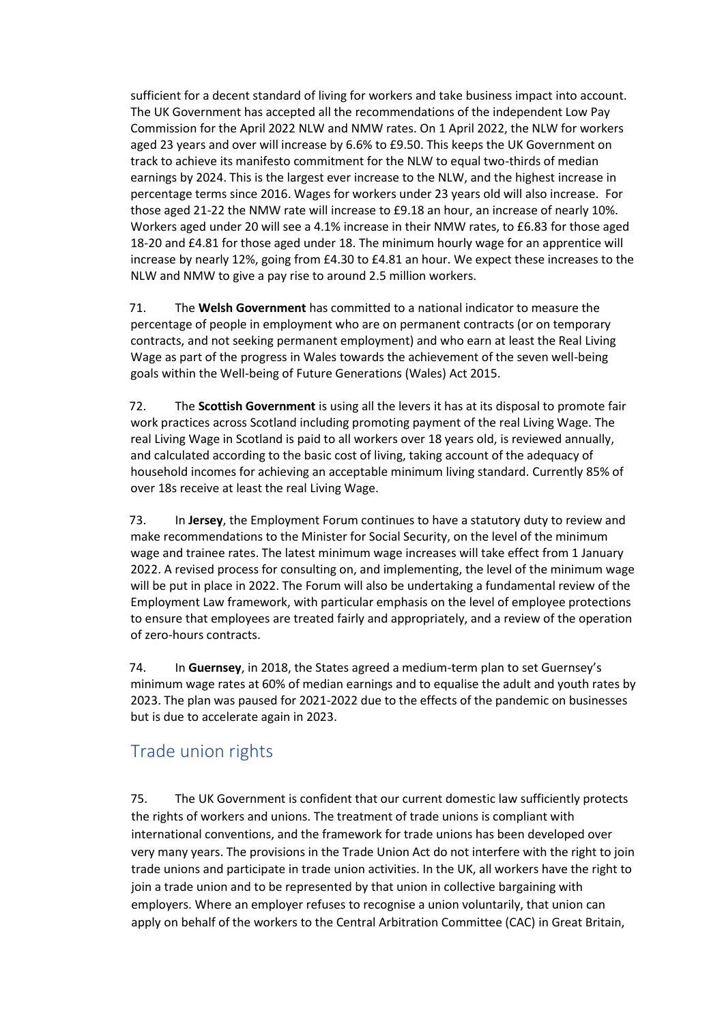sufficient for a decent standard of living for workers and take business impact into account. The UK Government has accepted all the recommendations of the independent Low Pay Commission for the April 2022 NLW and NMW rates. On 1 April 2022, the NLW for workers aged 23 years and over will increase by 6.6% to £9.50. This keeps the UK Government on track to achieve its manifesto commitment for the NLW to equal two-thirds of median earnings by 2024. This is the largest ever increase to the NLW, and the highest increase in percentage terms since 2016. Wages for workers under 23 years old will also increase. For those aged 21-22 the NMW rate will increase to £9.18 an hour, an increase of nearly 10%. Workers aged under 20 will see a 4.1% increase in their NMW rates, to £6.83 for those aged 18-20 and £4.81 for those aged under 18. The minimum hourly wage for an apprentice will increase by nearly 12%, going from £4.30 to £4.81 an hour. We expect these increases to the NLW and NMW to give a pay rise to around 2.5 million workers.

71. The **Welsh Government** has committed to a national indicator to measure the percentage of people in employment who are on permanent contracts (or on temporary contracts, and not seeking permanent employment) and who earn at least the Real Living Wage as part of the progress in Wales towards the achievement of the seven well-being goals within the Well-being of Future Generations (Wales) Act 2015.

72. The **Scottish Government** is using all the levers it has at its disposal to promote fair work practices across Scotland including promoting payment of the real Living Wage. The real Living Wage in Scotland is paid to all workers over 18 years old, is reviewed annually, and calculated according to the basic cost of living, taking account of the adequacy of household incomes for achieving an acceptable minimum living standard. Currently 85% of over 18s receive at least the real Living Wage.

73. In **Jersey**, the Employment Forum continues to have a statutory duty to review and make recommendations to the Minister for Social Security, on the level of the minimum wage and trainee rates. The latest minimum wage increases will take effect from 1 January 2022. A revised process for consulting on, and implementing, the level of the minimum wage will be put in place in 2022. The Forum will also be undertaking a fundamental review of the Employment Law framework, with particular emphasis on the level of employee protections to ensure that employees are treated fairly and appropriately, and a review of the operation of zero-hours contracts.

74. In **Guernsey**, in 2018, the States agreed a medium-term plan to set Guernsey's minimum wage rates at 60% of median earnings and to equalise the adult and youth rates by 2023. The plan was paused for 2021-2022 due to the effects of the pandemic on businesses but is due to accelerate again in 2023.

# <span id="page-18-0"></span>Trade union rights

75. The UK Government is confident that our current domestic law sufficiently protects the rights of workers and unions. The treatment of trade unions is compliant with international conventions, and the framework for trade unions has been developed over very many years. The provisions in the Trade Union Act do not interfere with the right to join trade unions and participate in trade union activities. In the UK, all workers have the right to join a trade union and to be represented by that union in collective bargaining with employers. Where an employer refuses to recognise a union voluntarily, that union can apply on behalf of the workers to the Central Arbitration Committee (CAC) in Great Britain,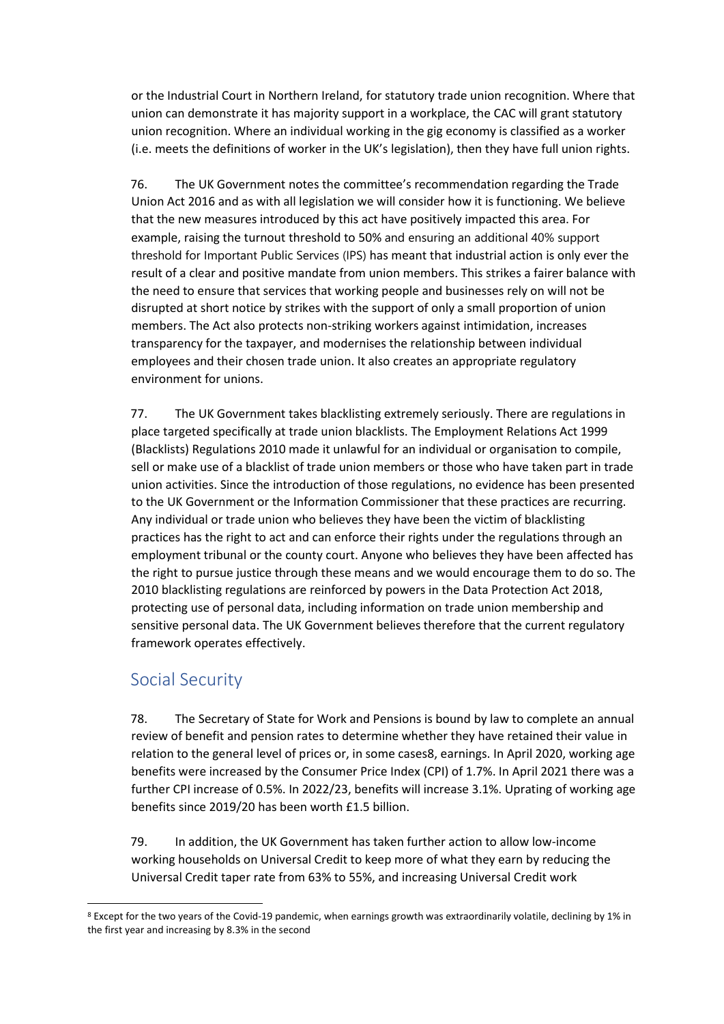or the Industrial Court in Northern Ireland, for statutory trade union recognition. Where that union can demonstrate it has majority support in a workplace, the CAC will grant statutory union recognition. Where an individual working in the gig economy is classified as a worker (i.e. meets the definitions of worker in the UK's legislation), then they have full union rights.

76. The UK Government notes the committee's recommendation regarding the Trade Union Act 2016 and as with all legislation we will consider how it is functioning. We believe that the new measures introduced by this act have positively impacted this area. For example, raising the turnout threshold to 50% and ensuring an additional 40% support threshold for Important Public Services (IPS) has meant that industrial action is only ever the result of a clear and positive mandate from union members. This strikes a fairer balance with the need to ensure that services that working people and businesses rely on will not be disrupted at short notice by strikes with the support of only a small proportion of union members. The Act also protects non-striking workers against intimidation, increases transparency for the taxpayer, and modernises the relationship between individual employees and their chosen trade union. It also creates an appropriate regulatory environment for unions.

77. The UK Government takes blacklisting extremely seriously. There are regulations in place targeted specifically at trade union blacklists. The Employment Relations Act 1999 (Blacklists) Regulations 2010 made it unlawful for an individual or organisation to compile, sell or make use of a blacklist of trade union members or those who have taken part in trade union activities. Since the introduction of those regulations, no evidence has been presented to the UK Government or the Information Commissioner that these practices are recurring. Any individual or trade union who believes they have been the victim of blacklisting practices has the right to act and can enforce their rights under the regulations through an employment tribunal or the county court. Anyone who believes they have been affected has the right to pursue justice through these means and we would encourage them to do so. The 2010 blacklisting regulations are reinforced by powers in the Data Protection Act 2018, protecting use of personal data, including information on trade union membership and sensitive personal data. The UK Government believes therefore that the current regulatory framework operates effectively.

## <span id="page-19-0"></span>Social Security

78. The Secretary of State for Work and Pensions is bound by law to complete an annual review of benefit and pension rates to determine whether they have retained their value in relation to the general level of prices or, in some cases8, earnings. In April 2020, working age benefits were increased by the Consumer Price Index (CPI) of 1.7%. In April 2021 there was a further CPI increase of 0.5%. In 2022/23, benefits will increase 3.1%. Uprating of working age benefits since 2019/20 has been worth £1.5 billion.

79. In addition, the UK Government has taken further action to allow low-income working households on Universal Credit to keep more of what they earn by reducing the Universal Credit taper rate from 63% to 55%, and increasing Universal Credit work

<sup>8</sup> Except for the two years of the Covid-19 pandemic, when earnings growth was extraordinarily volatile, declining by 1% in the first year and increasing by 8.3% in the second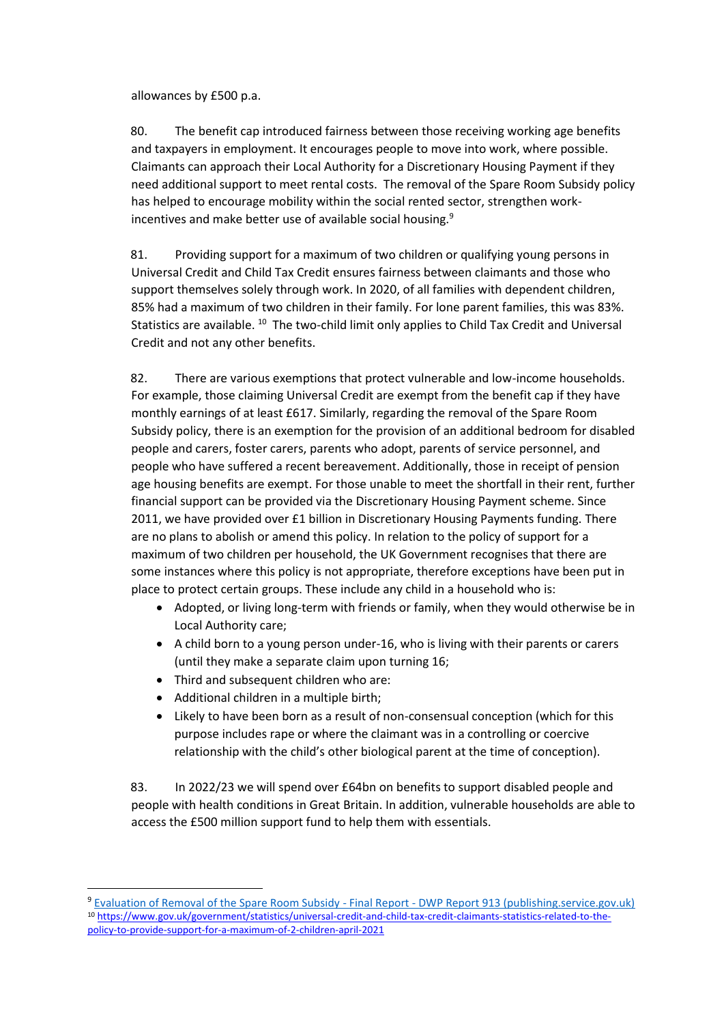allowances by £500 p.a.

80. The benefit cap introduced fairness between those receiving working age benefits and taxpayers in employment. It encourages people to move into work, where possible. Claimants can approach their Local Authority for a Discretionary Housing Payment if they need additional support to meet rental costs. The removal of the Spare Room Subsidy policy has helped to encourage mobility within the social rented sector, strengthen workincentives and make better use of available social housing.<sup>9</sup>

81. Providing support for a maximum of two children or qualifying young persons in Universal Credit and Child Tax Credit ensures fairness between claimants and those who support themselves solely through work. In 2020, of all families with dependent children, 85% had a maximum of two children in their family. For lone parent families, this was 83%. Statistics are available. <sup>10</sup> The two-child limit only applies to Child Tax Credit and Universal Credit and not any other benefits.

82. There are various exemptions that protect vulnerable and low-income households. For example, those claiming Universal Credit are exempt from the benefit cap if they have monthly earnings of at least £617. Similarly, regarding the removal of the Spare Room Subsidy policy, there is an exemption for the provision of an additional bedroom for disabled people and carers, foster carers, parents who adopt, parents of service personnel, and people who have suffered a recent bereavement. Additionally, those in receipt of pension age housing benefits are exempt. For those unable to meet the shortfall in their rent, further financial support can be provided via the Discretionary Housing Payment scheme. Since 2011, we have provided over £1 billion in Discretionary Housing Payments funding. There are no plans to abolish or amend this policy. In relation to the policy of support for a maximum of two children per household, the UK Government recognises that there are some instances where this policy is not appropriate, therefore exceptions have been put in place to protect certain groups. These include any child in a household who is:

- Adopted, or living long-term with friends or family, when they would otherwise be in Local Authority care;
- A child born to a young person under-16, who is living with their parents or carers (until they make a separate claim upon turning 16;
- Third and subsequent children who are:
- Additional children in a multiple birth;
- Likely to have been born as a result of non-consensual conception (which for this purpose includes rape or where the claimant was in a controlling or coercive relationship with the child's other biological parent at the time of conception).

83. In 2022/23 we will spend over £64bn on benefits to support disabled people and people with health conditions in Great Britain. In addition, vulnerable households are able to access the £500 million support fund to help them with essentials.

<sup>9</sup> [Evaluation of Removal of the Spare Room Subsidy -](https://assets.publishing.service.gov.uk/government/uploads/system/uploads/attachment_data/file/506407/rsrs-evaluation.pdf) Final Report - DWP Report 913 (publishing.service.gov.uk) <sup>10</sup> https://www.gov.uk/government/statistics/universal-credit-and-child-tax-credit-claimants-statistics-related-to-thepolicy-to-provide-support-for-a-maximum-of-2-children-april-2021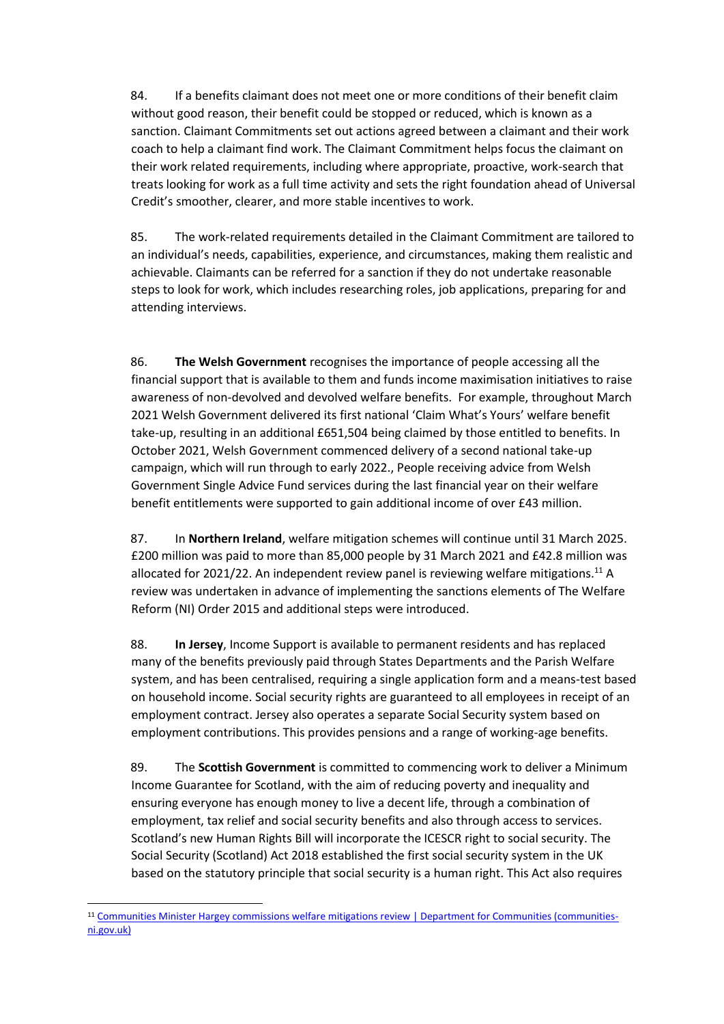84. If a benefits claimant does not meet one or more conditions of their benefit claim without good reason, their benefit could be stopped or reduced, which is known as a sanction. Claimant Commitments set out actions agreed between a claimant and their work coach to help a claimant find work. The Claimant Commitment helps focus the claimant on their work related requirements, including where appropriate, proactive, work-search that treats looking for work as a full time activity and sets the right foundation ahead of Universal Credit's smoother, clearer, and more stable incentives to work.

85. The work-related requirements detailed in the Claimant Commitment are tailored to an individual's needs, capabilities, experience, and circumstances, making them realistic and achievable. Claimants can be referred for a sanction if they do not undertake reasonable steps to look for work, which includes researching roles, job applications, preparing for and attending interviews.

86. **The Welsh Government** recognises the importance of people accessing all the financial support that is available to them and funds income maximisation initiatives to raise awareness of non-devolved and devolved welfare benefits. For example, throughout March 2021 Welsh Government delivered its first national 'Claim What's Yours' welfare benefit take-up, resulting in an additional £651,504 being claimed by those entitled to benefits. In October 2021, Welsh Government commenced delivery of a second national take-up campaign, which will run through to early 2022., People receiving advice from Welsh Government Single Advice Fund services during the last financial year on their welfare benefit entitlements were supported to gain additional income of over £43 million.

87. In **Northern Ireland**, welfare mitigation schemes will continue until 31 March 2025. £200 million was paid to more than 85,000 people by 31 March 2021 and £42.8 million was allocated for 2021/22. An independent review panel is reviewing welfare mitigations.<sup>11</sup> A review was undertaken in advance of implementing the sanctions elements of The Welfare Reform (NI) Order 2015 and additional steps were introduced.

88. **In Jersey**, Income Support is available to permanent residents and has replaced many of the benefits previously paid through States Departments and the Parish Welfare system, and has been centralised, requiring a single application form and a means-test based on household income. Social security rights are guaranteed to all employees in receipt of an employment contract. Jersey also operates a separate Social Security system based on employment contributions. This provides pensions and a range of working-age benefits.

89. The **Scottish Government** is committed to commencing work to deliver a Minimum Income Guarantee for Scotland, with the aim of reducing poverty and inequality and ensuring everyone has enough money to live a decent life, through a combination of employment, tax relief and social security benefits and also through access to services. Scotland's new Human Rights Bill will incorporate the ICESCR right to social security. The Social Security (Scotland) Act 2018 established the first social security system in the UK based on the statutory principle that social security is a human right. This Act also requires

<sup>11</sup> [Communities Minister Hargey commissions welfare mitigations review | Department for Communities \(communities](http://www.communities-ni.gov.uk/news/communities-minister-hargey-commissions-welfare-mitigations-review)[ni.gov.uk\)](http://www.communities-ni.gov.uk/news/communities-minister-hargey-commissions-welfare-mitigations-review)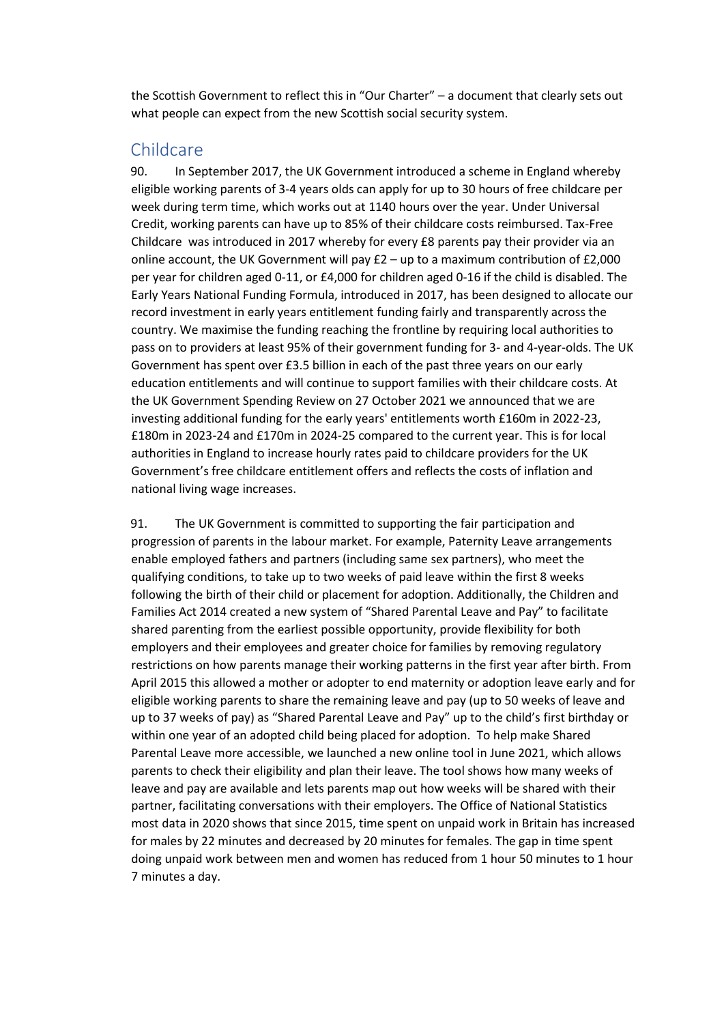the Scottish Government to reflect this in "Our Charter" – a document that clearly sets out what people can expect from the new Scottish social security system.

### <span id="page-22-0"></span>Childcare

90. In September 2017, the UK Government introduced a scheme in England whereby eligible working parents of 3-4 years olds can apply for up to 30 hours of free childcare per week during term time, which works out at 1140 hours over the year. Under Universal Credit, working parents can have up to 85% of their childcare costs reimbursed. Tax-Free Childcare was introduced in 2017 whereby for every £8 parents pay their provider via an online account, the UK Government will pay  $E2 - up$  to a maximum contribution of  $E2,000$ per year for children aged 0-11, or £4,000 for children aged 0-16 if the child is disabled. The Early Years National Funding Formula, introduced in 2017, has been designed to allocate our record investment in early years entitlement funding fairly and transparently across the country. We maximise the funding reaching the frontline by requiring local authorities to pass on to providers at least 95% of their government funding for 3- and 4-year-olds. The UK Government has spent over £3.5 billion in each of the past three years on our early education entitlements and will continue to support families with their childcare costs. At the UK Government Spending Review on 27 October 2021 we announced that we are investing additional funding for the early years' entitlements worth £160m in 2022-23, £180m in 2023-24 and £170m in 2024-25 compared to the current year. This is for local authorities in England to increase hourly rates paid to childcare providers for the UK Government's free childcare entitlement offers and reflects the costs of inflation and national living wage increases.

91. The UK Government is committed to supporting the fair participation and progression of parents in the labour market. For example, Paternity Leave arrangements enable employed fathers and partners (including same sex partners), who meet the qualifying conditions, to take up to two weeks of paid leave within the first 8 weeks following the birth of their child or placement for adoption. Additionally, the Children and Families Act 2014 created a new system of "Shared Parental Leave and Pay" to facilitate shared parenting from the earliest possible opportunity, provide flexibility for both employers and their employees and greater choice for families by removing regulatory restrictions on how parents manage their working patterns in the first year after birth. From April 2015 this allowed a mother or adopter to end maternity or adoption leave early and for eligible working parents to share the remaining leave and pay (up to 50 weeks of leave and up to 37 weeks of pay) as "Shared Parental Leave and Pay" up to the child's first birthday or within one year of an adopted child being placed for adoption. To help make Shared Parental Leave more accessible, we launched a new online tool in June 2021, which allows parents to check their eligibility and plan their leave. The tool shows how many weeks of leave and pay are available and lets parents map out how weeks will be shared with their partner, facilitating conversations with their employers. The Office of National Statistics most data in 2020 shows that since 2015, time spent on unpaid work in Britain has increased for males by 22 minutes and decreased by 20 minutes for females. The gap in time spent doing unpaid work between men and women has reduced from 1 hour 50 minutes to 1 hour 7 minutes a day.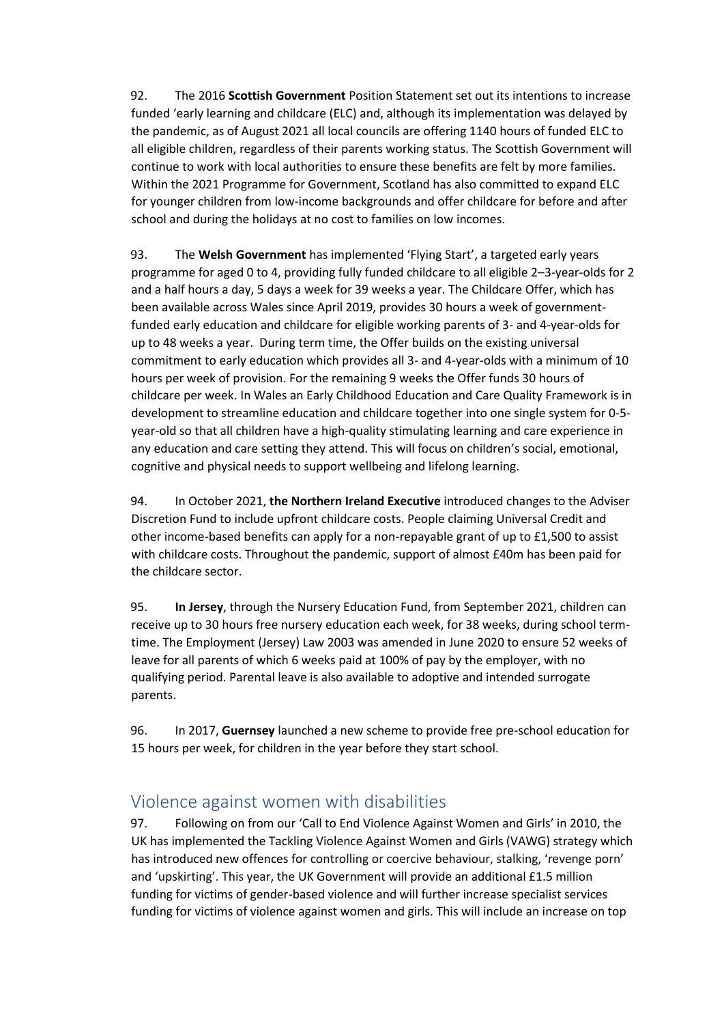92. The 2016 **Scottish Government** Position Statement set out its intentions to increase funded 'early learning and childcare (ELC) and, although its implementation was delayed by the pandemic, as of August 2021 all local councils are offering 1140 hours of funded ELC to all eligible children, regardless of their parents working status. The Scottish Government will continue to work with local authorities to ensure these benefits are felt by more families. Within the 2021 Programme for Government, Scotland has also committed to expand ELC for younger children from low-income backgrounds and offer childcare for before and after school and during the holidays at no cost to families on low incomes.

93. The **Welsh Government** has implemented 'Flying Start', a targeted early years programme for aged 0 to 4, providing fully funded childcare to all eligible 2–3-year-olds for 2 and a half hours a day, 5 days a week for 39 weeks a year. The Childcare Offer, which has been available across Wales since April 2019, provides 30 hours a week of governmentfunded early education and childcare for eligible working parents of 3- and 4-year-olds for up to 48 weeks a year. During term time, the Offer builds on the existing universal commitment to early education which provides all 3- and 4-year-olds with a minimum of 10 hours per week of provision. For the remaining 9 weeks the Offer funds 30 hours of childcare per week. In Wales an Early Childhood Education and Care Quality Framework is in development to streamline education and childcare together into one single system for 0-5 year-old so that all children have a high-quality stimulating learning and care experience in any education and care setting they attend. This will focus on children's social, emotional, cognitive and physical needs to support wellbeing and lifelong learning.

94. In October 2021, **the Northern Ireland Executive** introduced changes to the Adviser Discretion Fund to include upfront childcare costs. People claiming Universal Credit and other income-based benefits can apply for a non-repayable grant of up to £1,500 to assist with childcare costs. Throughout the pandemic, support of almost £40m has been paid for the childcare sector.

95. **In Jersey**, through the Nursery Education Fund, from September 2021, children can receive up to 30 hours free nursery education each week, for 38 weeks, during school termtime. The Employment (Jersey) Law 2003 was amended in June 2020 to ensure 52 weeks of leave for all parents of which 6 weeks paid at 100% of pay by the employer, with no qualifying period. Parental leave is also available to adoptive and intended surrogate parents.

96. In 2017, **Guernsey** launched a new scheme to provide free pre-school education for 15 hours per week, for children in the year before they start school.

## <span id="page-23-0"></span>Violence against women with disabilities

97. Following on from our 'Call to End Violence Against Women and Girls' in 2010, the UK has implemented the Tackling Violence Against Women and Girls (VAWG) strategy which has introduced new offences for controlling or coercive behaviour, stalking, 'revenge porn' and 'upskirting'. This year, the UK Government will provide an additional £1.5 million funding for victims of gender-based violence and will further increase specialist services funding for victims of violence against women and girls. This will include an increase on top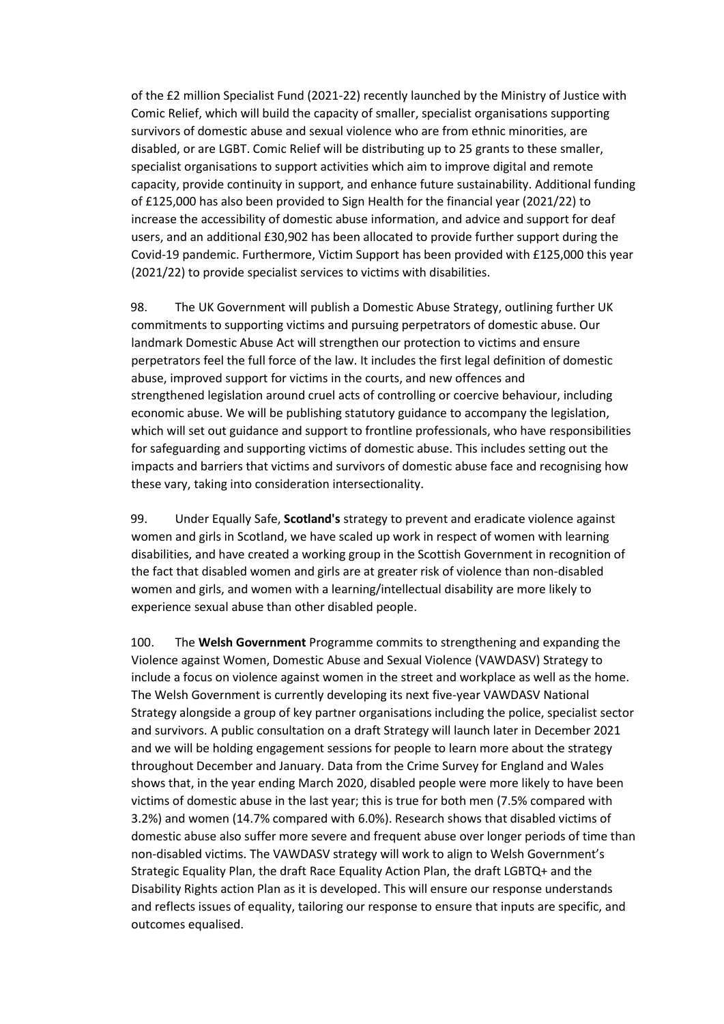of the £2 million Specialist Fund (2021-22) recently launched by the Ministry of Justice with Comic Relief, which will build the capacity of smaller, specialist organisations supporting survivors of domestic abuse and sexual violence who are from ethnic minorities, are disabled, or are LGBT. Comic Relief will be distributing up to 25 grants to these smaller, specialist organisations to support activities which aim to improve digital and remote capacity, provide continuity in support, and enhance future sustainability. Additional funding of £125,000 has also been provided to Sign Health for the financial year (2021/22) to increase the accessibility of domestic abuse information, and advice and support for deaf users, and an additional £30,902 has been allocated to provide further support during the Covid-19 pandemic. Furthermore, Victim Support has been provided with £125,000 this year (2021/22) to provide specialist services to victims with disabilities.

98. The UK Government will publish a Domestic Abuse Strategy, outlining further UK commitments to supporting victims and pursuing perpetrators of domestic abuse. Our landmark Domestic Abuse Act will strengthen our protection to victims and ensure perpetrators feel the full force of the law. It includes the first legal definition of domestic abuse, improved support for victims in the courts, and new offences and strengthened legislation around cruel acts of controlling or coercive behaviour, including economic abuse. We will be publishing statutory guidance to accompany the legislation, which will set out guidance and support to frontline professionals, who have responsibilities for safeguarding and supporting victims of domestic abuse. This includes setting out the impacts and barriers that victims and survivors of domestic abuse face and recognising how these vary, taking into consideration intersectionality.

99. Under Equally Safe, **Scotland's** strategy to prevent and eradicate violence against women and girls in Scotland, we have scaled up work in respect of women with learning disabilities, and have created a working group in the Scottish Government in recognition of the fact that disabled women and girls are at greater risk of violence than non-disabled women and girls, and women with a learning/intellectual disability are more likely to experience sexual abuse than other disabled people.

100. The **Welsh Government** Programme commits to strengthening and expanding the Violence against Women, Domestic Abuse and Sexual Violence (VAWDASV) Strategy to include a focus on violence against women in the street and workplace as well as the home. The Welsh Government is currently developing its next five-year VAWDASV National Strategy alongside a group of key partner organisations including the police, specialist sector and survivors. A public consultation on a draft Strategy will launch later in December 2021 and we will be holding engagement sessions for people to learn more about the strategy throughout December and January. Data from the Crime Survey for England and Wales shows that, in the year ending March 2020, disabled people were more likely to have been victims of domestic abuse in the last year; this is true for both men (7.5% compared with 3.2%) and women (14.7% compared with 6.0%). Research shows that disabled victims of domestic abuse also suffer more severe and frequent abuse over longer periods of time than non-disabled victims. The VAWDASV strategy will work to align to Welsh Government's Strategic Equality Plan, the draft Race Equality Action Plan, the draft LGBTQ+ and the Disability Rights action Plan as it is developed. This will ensure our response understands and reflects issues of equality, tailoring our response to ensure that inputs are specific, and outcomes equalised.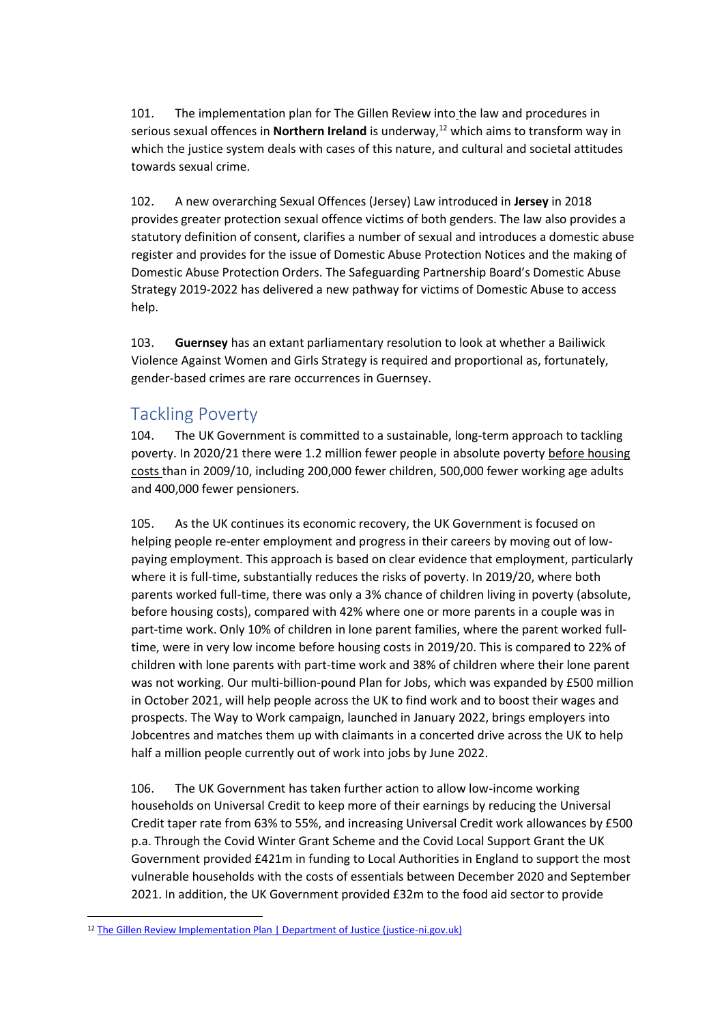101. The implementation plan for The Gillen Review into the law and procedures in serious sexual offences in **Northern Ireland** is underway,<sup>12</sup> which aims to transform way in which the justice system deals with cases of this nature, and cultural and societal attitudes towards sexual crime.

102. A new overarching Sexual Offences (Jersey) Law introduced in **Jersey** in 2018 provides greater protection sexual offence victims of both genders. The law also provides a statutory definition of consent, clarifies a number of sexual and introduces a domestic abuse register and provides for the issue of Domestic Abuse Protection Notices and the making of Domestic Abuse Protection Orders. The Safeguarding Partnership Board's Domestic Abuse Strategy 2019-2022 has delivered a new pathway for victims of Domestic Abuse to access help.

103. **Guernsey** has an extant parliamentary resolution to look at whether a Bailiwick Violence Against Women and Girls Strategy is required and proportional as, fortunately, gender-based crimes are rare occurrences in Guernsey.

### <span id="page-25-0"></span>Tackling Poverty

104. The UK Government is committed to a sustainable, long-term approach to tackling poverty. In 2020/21 there were 1.2 million fewer people in absolute poverty before housing costs than in 2009/10, including 200,000 fewer children, 500,000 fewer working age adults and 400,000 fewer pensioners.

105. As the UK continues its economic recovery, the UK Government is focused on helping people re-enter employment and progress in their careers by moving out of lowpaying employment. This approach is based on clear evidence that employment, particularly where it is full-time, substantially reduces the risks of poverty. In 2019/20, where both parents worked full-time, there was only a 3% chance of children living in poverty (absolute, before housing costs), compared with 42% where one or more parents in a couple was in part-time work. Only 10% of children in lone parent families, where the parent worked fulltime, were in very low income before housing costs in 2019/20. This is compared to 22% of children with lone parents with part-time work and 38% of children where their lone parent was not working. Our multi-billion-pound Plan for Jobs, which was expanded by £500 million in October 2021, will help people across the UK to find work and to boost their wages and prospects. The Way to Work campaign, launched in January 2022, brings employers into Jobcentres and matches them up with claimants in a concerted drive across the UK to help half a million people currently out of work into jobs by June 2022.

106. The UK Government has taken further action to allow low-income working households on Universal Credit to keep more of their earnings by reducing the Universal Credit taper rate from 63% to 55%, and increasing Universal Credit work allowances by £500 p.a. Through the Covid Winter Grant Scheme and the Covid Local Support Grant the UK Government provided £421m in funding to Local Authorities in England to support the most vulnerable households with the costs of essentials between December 2020 and September 2021. In addition, the UK Government provided £32m to the food aid sector to provide

<sup>&</sup>lt;sup>12</sup> [The Gillen Review Implementation Plan | Department of Justice \(justice-ni.gov.uk\)](https://www.justice-ni.gov.uk/publications/gillen-review-implementation-plan)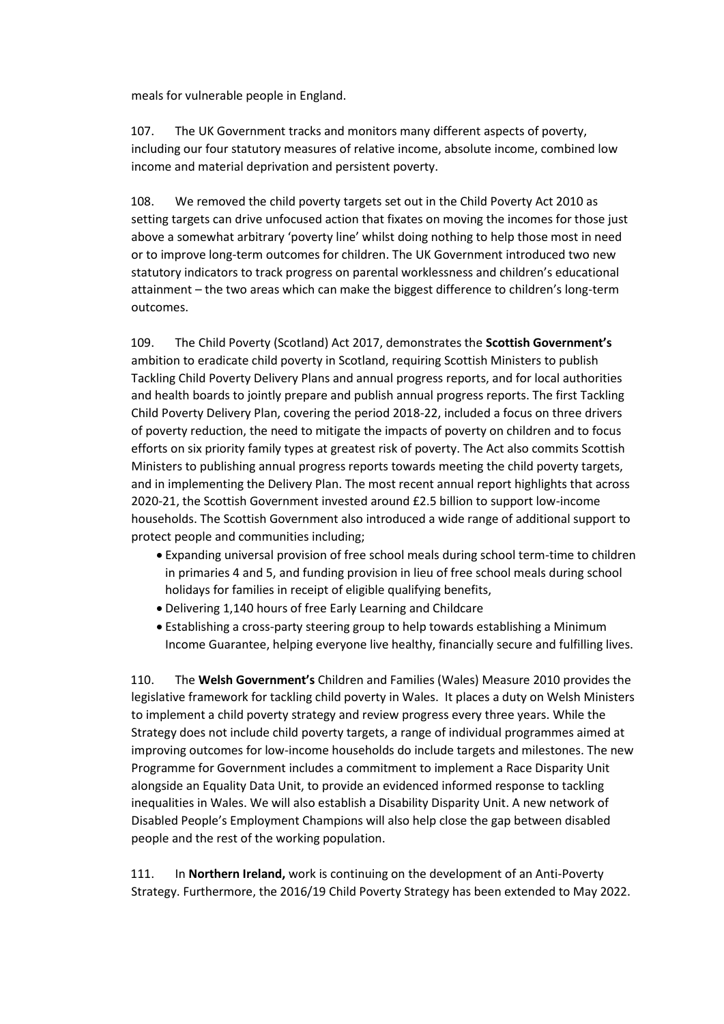meals for vulnerable people in England.

107. The UK Government tracks and monitors many different aspects of poverty, including our four statutory measures of relative income, absolute income, combined low income and material deprivation and persistent poverty.

108. We removed the child poverty targets set out in the Child Poverty Act 2010 as setting targets can drive unfocused action that fixates on moving the incomes for those just above a somewhat arbitrary 'poverty line' whilst doing nothing to help those most in need or to improve long-term outcomes for children. The UK Government introduced two new statutory indicators to track progress on parental worklessness and children's educational attainment – the two areas which can make the biggest difference to children's long-term outcomes.

109. The Child Poverty (Scotland) Act 2017, demonstrates the **Scottish Government's** ambition to eradicate child poverty in Scotland, requiring Scottish Ministers to publish Tackling Child Poverty Delivery Plans and annual progress reports, and for local authorities and health boards to jointly prepare and publish annual progress reports. The first Tackling Child Poverty Delivery Plan, covering the period 2018-22, included a focus on three drivers of poverty reduction, the need to mitigate the impacts of poverty on children and to focus efforts on six priority family types at greatest risk of poverty. The Act also commits Scottish Ministers to publishing annual progress reports towards meeting the child poverty targets, and in implementing the Delivery Plan. The most recent annual report highlights that across 2020-21, the Scottish Government invested around £2.5 billion to support low-income households. The Scottish Government also introduced a wide range of additional support to protect people and communities including;

- Expanding universal provision of free school meals during school term-time to children in primaries 4 and 5, and funding provision in lieu of free school meals during school holidays for families in receipt of eligible qualifying benefits,
- Delivering 1,140 hours of free Early Learning and Childcare
- Establishing a cross-party steering group to help towards establishing a Minimum Income Guarantee, helping everyone live healthy, financially secure and fulfilling lives.

110. The **Welsh Government's** Children and Families (Wales) Measure 2010 provides the legislative framework for tackling child poverty in Wales. It places a duty on Welsh Ministers to implement a child poverty strategy and review progress every three years. While the Strategy does not include child poverty targets, a range of individual programmes aimed at improving outcomes for low-income households do include targets and milestones. The new Programme for Government includes a commitment to implement a Race Disparity Unit alongside an Equality Data Unit, to provide an evidenced informed response to tackling inequalities in Wales. We will also establish a Disability Disparity Unit. A new network of Disabled People's Employment Champions will also help close the gap between disabled people and the rest of the working population.

111. In **Northern Ireland,** work is continuing on the development of an Anti-Poverty Strategy. Furthermore, the 2016/19 Child Poverty Strategy has been extended to May 2022.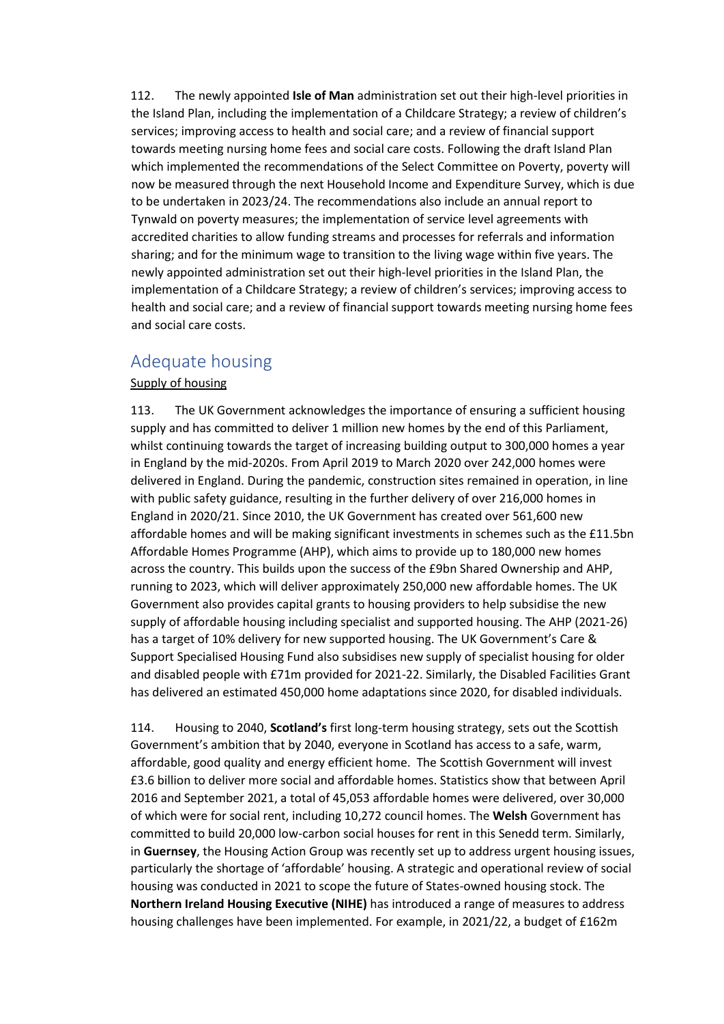112. The newly appointed **Isle of Man** administration set out their high-level priorities in the Island Plan, including the implementation of a Childcare Strategy; a review of children's services; improving access to health and social care; and a review of financial support towards meeting nursing home fees and social care costs. Following the draft Island Plan which implemented the recommendations of the Select Committee on Poverty, poverty will now be measured through the next Household Income and Expenditure Survey, which is due to be undertaken in 2023/24. The recommendations also include an annual report to Tynwald on poverty measures; the implementation of service level agreements with accredited charities to allow funding streams and processes for referrals and information sharing; and for the minimum wage to transition to the living wage within five years. The newly appointed administration set out their high-level priorities in the Island Plan, the implementation of a Childcare Strategy; a review of children's services; improving access to health and social care; and a review of financial support towards meeting nursing home fees and social care costs.

### <span id="page-27-0"></span>Adequate housing

#### Supply of housing

113. The UK Government acknowledges the importance of ensuring a sufficient housing supply and has committed to deliver 1 million new homes by the end of this Parliament, whilst continuing towards the target of increasing building output to 300,000 homes a year in England by the mid-2020s. From April 2019 to March 2020 over 242,000 homes were delivered in England. During the pandemic, construction sites remained in operation, in line with public safety guidance, resulting in the further delivery of over 216,000 homes in England in 2020/21. Since 2010, the UK Government has created over 561,600 new affordable homes and will be making significant investments in schemes such as the £11.5bn Affordable Homes Programme (AHP), which aims to provide up to 180,000 new homes across the country. This builds upon the success of the £9bn Shared Ownership and AHP, running to 2023, which will deliver approximately 250,000 new affordable homes. The UK Government also provides capital grants to housing providers to help subsidise the new supply of affordable housing including specialist and supported housing. The AHP (2021-26) has a target of 10% delivery for new supported housing. The UK Government's Care & Support Specialised Housing Fund also subsidises new supply of specialist housing for older and disabled people with £71m provided for 2021-22. Similarly, the Disabled Facilities Grant has delivered an estimated 450,000 home adaptations since 2020, for disabled individuals.

114. Housing to 2040, **Scotland's** first long-term housing strategy, sets out the Scottish Government's ambition that by 2040, everyone in Scotland has access to a safe, warm, affordable, good quality and energy efficient home. The Scottish Government will invest £3.6 billion to deliver more social and affordable homes. Statistics show that between April 2016 and September 2021, a total of 45,053 affordable homes were delivered, over 30,000 of which were for social rent, including 10,272 council homes. The **Welsh** Government has committed to build 20,000 low-carbon social houses for rent in this Senedd term. Similarly, in **Guernsey**, the Housing Action Group was recently set up to address urgent housing issues, particularly the shortage of 'affordable' housing. A strategic and operational review of social housing was conducted in 2021 to scope the future of States-owned housing stock. The **Northern Ireland Housing Executive (NIHE)** has introduced a range of measures to address housing challenges have been implemented. For example, in 2021/22, a budget of £162m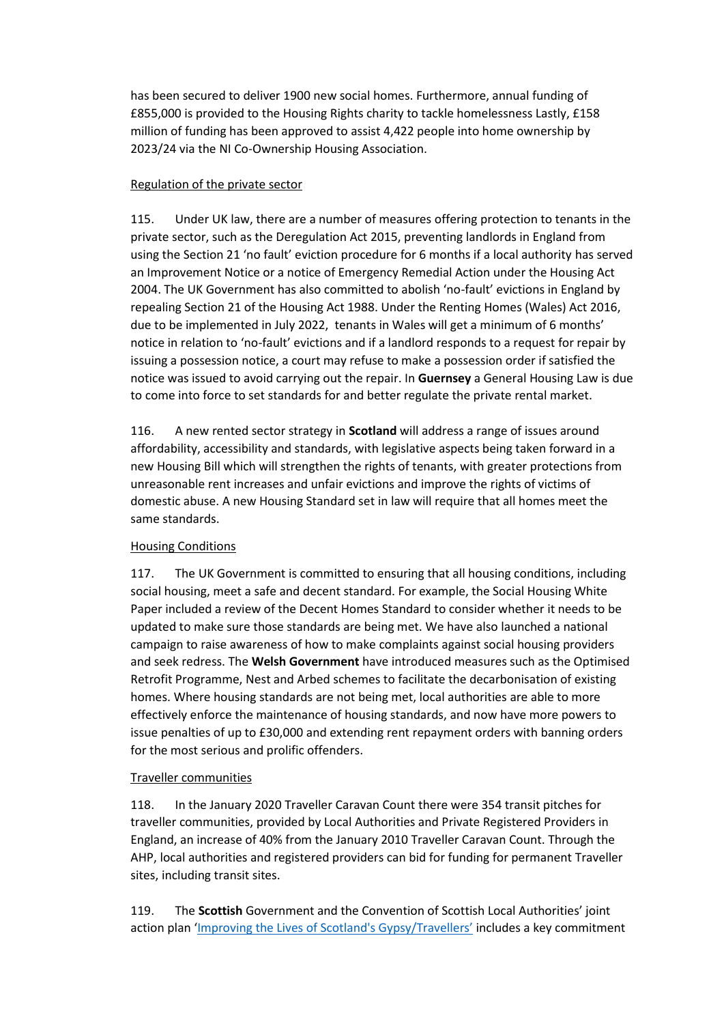has been secured to deliver 1900 new social homes. Furthermore, annual funding of £855,000 is provided to the Housing Rights charity to tackle homelessness Lastly, £158 million of funding has been approved to assist 4,422 people into home ownership by 2023/24 via the NI Co-Ownership Housing Association.

#### Regulation of the private sector

115. Under UK law, there are a number of measures offering protection to tenants in the private sector, such as the Deregulation Act 2015, preventing landlords in England from using the Section 21 'no fault' eviction procedure for 6 months if a local authority has served an Improvement Notice or a notice of Emergency Remedial Action under the Housing Act 2004. The UK Government has also committed to abolish 'no-fault' evictions in England by repealing Section 21 of the Housing Act 1988. Under the Renting Homes (Wales) Act 2016, due to be implemented in July 2022, tenants in Wales will get a minimum of 6 months' notice in relation to 'no-fault' evictions and if a landlord responds to a request for repair by issuing a possession notice, a court may refuse to make a possession order if satisfied the notice was issued to avoid carrying out the repair. In **Guernsey** a General Housing Law is due to come into force to set standards for and better regulate the private rental market.

116. A new rented sector strategy in **Scotland** will address a range of issues around affordability, accessibility and standards, with legislative aspects being taken forward in a new Housing Bill which will strengthen the rights of tenants, with greater protections from unreasonable rent increases and unfair evictions and improve the rights of victims of domestic abuse. A new Housing Standard set in law will require that all homes meet the same standards.

#### Housing Conditions

117. The UK Government is committed to ensuring that all housing conditions, including social housing, meet a safe and decent standard. For example, the Social Housing White Paper included a review of the Decent Homes Standard to consider whether it needs to be updated to make sure those standards are being met. We have also launched a national campaign to raise awareness of how to make complaints against social housing providers and seek redress. The **Welsh Government** have introduced measures such as the Optimised Retrofit Programme, Nest and Arbed schemes to facilitate the decarbonisation of existing homes. Where housing standards are not being met, local authorities are able to more effectively enforce the maintenance of housing standards, and now have more powers to issue penalties of up to £30,000 and extending rent repayment orders with banning orders for the most serious and prolific offenders.

#### Traveller communities

118. In the January 2020 Traveller Caravan Count there were 354 transit pitches for traveller communities, provided by Local Authorities and Private Registered Providers in England, an increase of 40% from the January 2010 Traveller Caravan Count. Through the AHP, local authorities and registered providers can bid for funding for permanent Traveller sites, including transit sites.

119. The **Scottish** Government and the Convention of Scottish Local Authorities' joint action plan '[Improving the Lives of Scotland's Gypsy/T](https://www.gov.scot/publications/improving-lives-scotlands-gypsy-travellers-2019-2021/)ravellers' includes a key commitment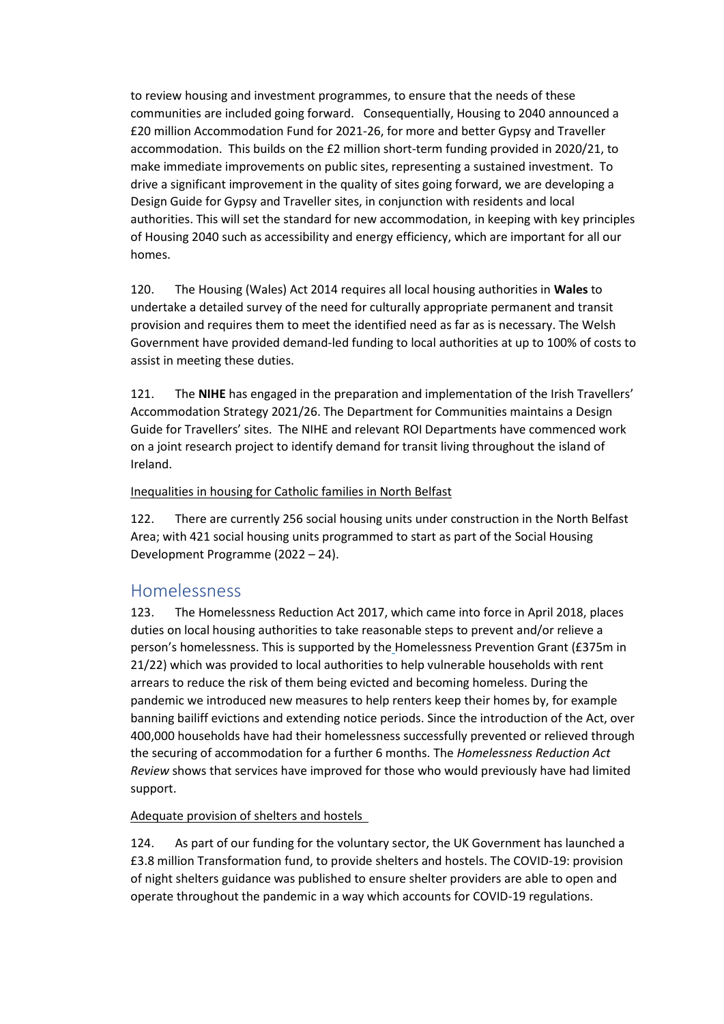to review housing and investment programmes, to ensure that the needs of these communities are included going forward. Consequentially, Housing to 2040 announced a £20 million Accommodation Fund for 2021-26, for more and better Gypsy and Traveller accommodation. This builds on the £2 million short-term funding provided in 2020/21, to make immediate improvements on public sites, representing a sustained investment. To drive a significant improvement in the quality of sites going forward, we are developing a Design Guide for Gypsy and Traveller sites, in conjunction with residents and local authorities. This will set the standard for new accommodation, in keeping with key principles of Housing 2040 such as accessibility and energy efficiency, which are important for all our homes.

120. The Housing (Wales) Act 2014 requires all local housing authorities in **Wales** to undertake a detailed survey of the need for culturally appropriate permanent and transit provision and requires them to meet the identified need as far as is necessary. The Welsh Government have provided demand-led funding to local authorities at up to 100% of costs to assist in meeting these duties.

121. The **NIHE** has engaged in the preparation and implementation of the Irish Travellers' Accommodation Strategy 2021/26. The Department for Communities maintains a Design Guide for Travellers' sites. The NIHE and relevant ROI Departments have commenced work on a joint research project to identify demand for transit living throughout the island of Ireland.

#### Inequalities in housing for Catholic families in North Belfast

122. There are currently 256 social housing units under construction in the North Belfast Area; with 421 social housing units programmed to start as part of the Social Housing Development Programme (2022 – 24).

### <span id="page-29-0"></span>Homelessness

123. The Homelessness Reduction Act 2017, which came into force in April 2018, places duties on local housing authorities to take reasonable steps to prevent and/or relieve a person's homelessness. This is supported by the Homelessness Prevention Grant (£375m in 21/22) which was provided to local authorities to help vulnerable households with rent arrears to reduce the risk of them being evicted and becoming homeless. During the pandemic we introduced new measures to help renters keep their homes by, for example banning bailiff evictions and extending notice periods. Since the introduction of the Act, over 400,000 households have had their homelessness successfully prevented or relieved through the securing of accommodation for a further 6 months. The *Homelessness Reduction Act Review* shows that services have improved for those who would previously have had limited support.

#### Adequate provision of shelters and hostels

124. As part of our funding for the voluntary sector, the UK Government has launched a £3.8 million Transformation fund, to provide shelters and hostels. The COVID-19: provision of night shelters guidance was published to ensure shelter providers are able to open and operate throughout the pandemic in a way which accounts for COVID-19 regulations.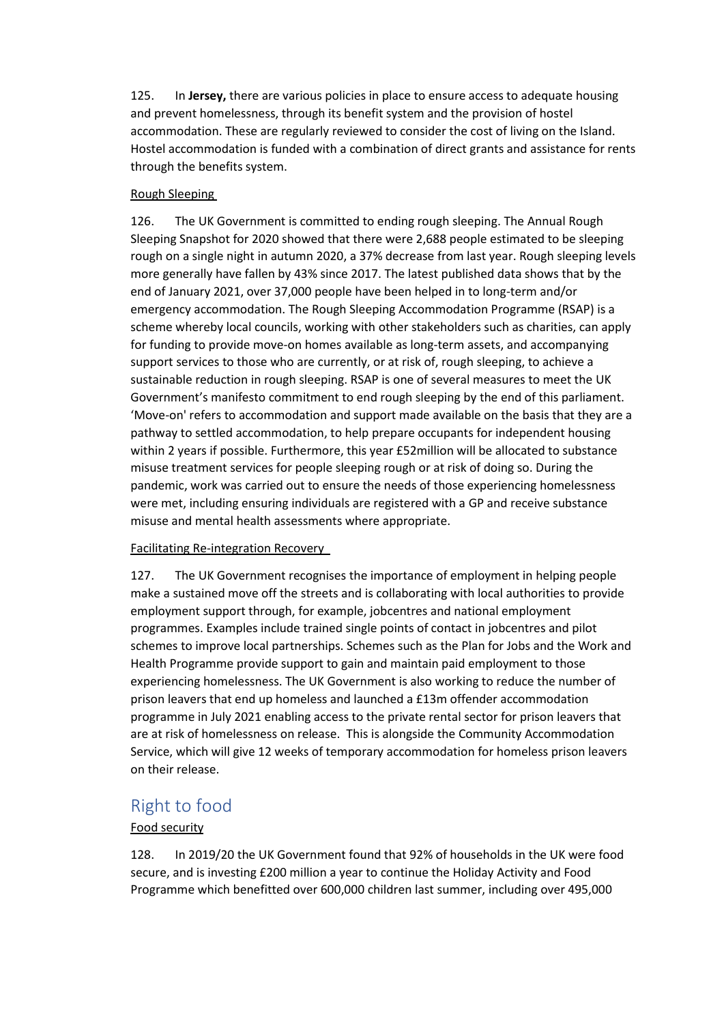125. In **Jersey,** there are various policies in place to ensure access to adequate housing and prevent homelessness, through its benefit system and the provision of hostel accommodation. These are regularly reviewed to consider the cost of living on the Island. Hostel accommodation is funded with a combination of direct grants and assistance for rents through the benefits system.

#### Rough Sleeping

126. The UK Government is committed to ending rough sleeping. The Annual Rough Sleeping Snapshot for 2020 showed that there were 2,688 people estimated to be sleeping rough on a single night in autumn 2020, a 37% decrease from last year. Rough sleeping levels more generally have fallen by 43% since 2017. The latest published data shows that by the end of January 2021, over 37,000 people have been helped in to long-term and/or emergency accommodation. The Rough Sleeping Accommodation Programme (RSAP) is a scheme whereby local councils, working with other stakeholders such as charities, can apply for funding to provide move-on homes available as long-term assets, and accompanying support services to those who are currently, or at risk of, rough sleeping, to achieve a sustainable reduction in rough sleeping. RSAP is one of several measures to meet the UK Government's manifesto commitment to end rough sleeping by the end of this parliament. 'Move-on' refers to accommodation and support made available on the basis that they are a pathway to settled accommodation, to help prepare occupants for independent housing within 2 years if possible. Furthermore, this year £52million will be allocated to substance misuse treatment services for people sleeping rough or at risk of doing so. During the pandemic, work was carried out to ensure the needs of those experiencing homelessness were met, including ensuring individuals are registered with a GP and receive substance misuse and mental health assessments where appropriate.

#### Facilitating Re-integration Recovery

127. The UK Government recognises the importance of employment in helping people make a sustained move off the streets and is collaborating with local authorities to provide employment support through, for example, jobcentres and national employment programmes. Examples include trained single points of contact in jobcentres and pilot schemes to improve local partnerships. Schemes such as the Plan for Jobs and the Work and Health Programme provide support to gain and maintain paid employment to those experiencing homelessness. The UK Government is also working to reduce the number of prison leavers that end up homeless and launched a £13m offender accommodation programme in July 2021 enabling access to the private rental sector for prison leavers that are at risk of homelessness on release. This is alongside the Community Accommodation Service, which will give 12 weeks of temporary accommodation for homeless prison leavers on their release.

## <span id="page-30-0"></span>Right to food

#### Food security

128. In 2019/20 the UK Government found that 92% of households in the UK were food secure, and is investing £200 million a year to continue the Holiday Activity and Food Programme which benefitted over 600,000 children last summer, including over 495,000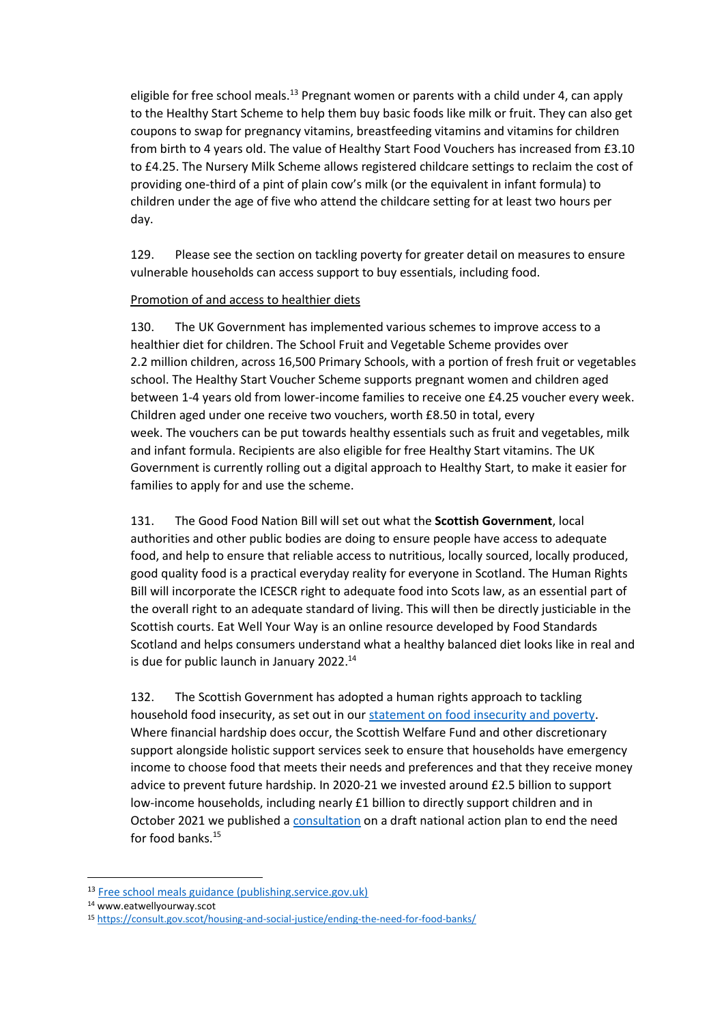eligible for free school meals.<sup>13</sup> Pregnant women or parents with a child under 4, can apply to the Healthy Start Scheme to help them buy basic foods like milk or fruit. They can also get coupons to swap for pregnancy vitamins, breastfeeding vitamins and vitamins for children from birth to 4 years old. The value of Healthy Start Food Vouchers has increased from £3.10 to £4.25. The Nursery Milk Scheme allows registered childcare settings to reclaim the cost of providing one-third of a pint of plain cow's milk (or the equivalent in infant formula) to children under the age of five who attend the childcare setting for at least two hours per day.

129. Please see the section on tackling poverty for greater detail on measures to ensure vulnerable households can access support to buy essentials, including food.

#### Promotion of and access to healthier diets

130. The UK Government has implemented various schemes to improve access to a healthier diet for children. The School Fruit and Vegetable Scheme provides over 2.2 million children, across 16,500 Primary Schools, with a portion of fresh fruit or vegetables school. The Healthy Start Voucher Scheme supports pregnant women and children aged between 1-4 years old from lower-income families to receive one £4.25 voucher every week. Children aged under one receive two vouchers, worth £8.50 in total, every week. The vouchers can be put towards healthy essentials such as fruit and vegetables, milk and infant formula. Recipients are also eligible for free Healthy Start vitamins. The UK Government is currently rolling out a digital approach to Healthy Start, to make it easier for families to apply for and use the scheme.

131. The Good Food Nation Bill will set out what the **Scottish Government**, local authorities and other public bodies are doing to ensure people have access to adequate food, and help to ensure that reliable access to nutritious, locally sourced, locally produced, good quality food is a practical everyday reality for everyone in Scotland. The Human Rights Bill will incorporate the ICESCR right to adequate food into Scots law, as an essential part of the overall right to an adequate standard of living. This will then be directly justiciable in the Scottish courts. Eat Well Your Way is an online resource developed by Food Standards Scotland and helps consumers understand what a healthy balanced diet looks like in real and is due for public launch in January 2022.<sup>14</sup>

132. The Scottish Government has adopted a human rights approach to tackling household food insecurity, as set out in ou[r statement on food insecurity and poverty.](https://www.gov.scot/publications/scottish-government-response-un-food-insecurity-poverty/) Where financial hardship does occur, the Scottish Welfare Fund and other discretionary support alongside holistic support services seek to ensure that households have emergency income to choose food that meets their needs and preferences and that they receive money advice to prevent future hardship. In 2020-21 we invested around £2.5 billion to support low-income households, including nearly £1 billion to directly support children and in October 2021 we published a [consultation](https://www.gov.scot/publications/ending-need-food-banks-consultation-draft-national-plan/pages/11/) on a draft national action plan to end the need for food banks.<sup>15</sup>

<sup>13</sup> [Free school meals guidance \(publishing.service.gov.uk\)](https://assets.publishing.service.gov.uk/government/uploads/system/uploads/attachment_data/file/700139/Free_school_meals_guidance_Apr18.pdf)

<sup>14</sup> www.eatwellyourway.scot

<sup>15</sup> <https://consult.gov.scot/housing-and-social-justice/ending-the-need-for-food-banks/>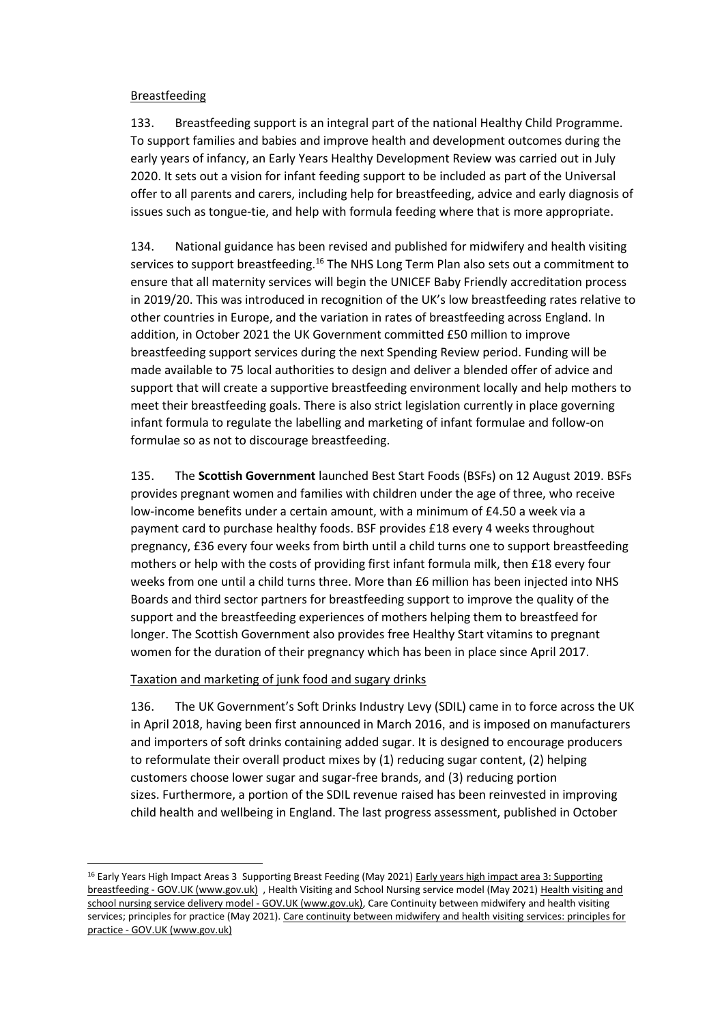#### Breastfeeding

133. Breastfeeding support is an integral part of the national Healthy Child Programme. To support families and babies and improve health and development outcomes during the early years of infancy, an Early Years Healthy Development Review was carried out in July 2020. It sets out a vision for infant feeding support to be included as part of the Universal offer to all parents and carers, including help for breastfeeding, advice and early diagnosis of issues such as tongue-tie, and help with formula feeding where that is more appropriate.

134. National guidance has been revised and published for midwifery and health visiting services to support breastfeeding.<sup>16</sup> The NHS Long Term Plan also sets out a commitment to ensure that all maternity services will begin the UNICEF Baby Friendly accreditation process in 2019/20. This was introduced in recognition of the UK's low breastfeeding rates relative to other countries in Europe, and the variation in rates of breastfeeding across England. In addition, in October 2021 the UK Government committed £50 million to improve breastfeeding support services during the next Spending Review period. Funding will be made available to 75 local authorities to design and deliver a blended offer of advice and support that will create a supportive breastfeeding environment locally and help mothers to meet their breastfeeding goals. There is also strict legislation currently in place governing infant formula to regulate the labelling and marketing of infant formulae and follow-on formulae so as not to discourage breastfeeding.

135. The **Scottish Government** launched Best Start Foods (BSFs) on 12 August 2019. BSFs provides pregnant women and families with children under the age of three, who receive low-income benefits under a certain amount, with a minimum of £4.50 a week via a payment card to purchase healthy foods. BSF provides £18 every 4 weeks throughout pregnancy, £36 every four weeks from birth until a child turns one to support breastfeeding mothers or help with the costs of providing first infant formula milk, then £18 every four weeks from one until a child turns three. More than £6 million has been injected into NHS Boards and third sector partners for breastfeeding support to improve the quality of the support and the breastfeeding experiences of mothers helping them to breastfeed for longer. The Scottish Government also provides free Healthy Start vitamins to pregnant women for the duration of their pregnancy which has been in place since April 2017.

#### Taxation and marketing of junk food and sugary drinks

136. The UK Government's Soft Drinks Industry Levy (SDIL) came in to force across the UK in April 2018, having been first announced in March 2016, and is imposed on manufacturers and importers of soft drinks containing added sugar. It is designed to encourage producers to reformulate their overall product mixes by (1) reducing sugar content, (2) helping customers choose lower sugar and sugar-free brands, and (3) reducing portion sizes. Furthermore, a portion of the SDIL revenue raised has been reinvested in improving child health and wellbeing in England. The last progress assessment, published in October

<sup>&</sup>lt;sup>16</sup> Early Years High Impact Areas 3 Supporting Breast Feeding (May 2021) Early years high impact area 3: Supporting breastfeeding - [GOV.UK \(www.gov.uk\)](https://eur03.safelinks.protection.outlook.com/?url=https%3A%2F%2Fwww.gov.uk%2Fgovernment%2Fpublications%2Fcommissioning-of-public-health-services-for-children%2Fearly-years-high-impact-area-3-supporting-breastfeeding&data=04%7C01%7CAbigail.Agyei%40dhsc.gov.uk%7C67fd1281038b4d3cd44108d9bb28668d%7C61278c3091a84c318c1fef4de8973a1c%7C1%7C0%7C637746604549956056%7CUnknown%7CTWFpbGZsb3d8eyJWIjoiMC4wLjAwMDAiLCJQIjoiV2luMzIiLCJBTiI6Ik1haWwiLCJXVCI6Mn0%3D%7C3000&sdata=u2O%2Ft8SbIO%2FQIJCed3u8izR9eHUCwLVS1ok8O929XLQ%3D&reserved=0) , Health Visiting and School Nursing service model (May 2021[\) Health visiting and](https://eur03.safelinks.protection.outlook.com/?url=https%3A%2F%2Fwww.gov.uk%2Fgovernment%2Fpublications%2Fcommissioning-of-public-health-services-for-children%2Fhealth-visiting-and-school-nursing-service-delivery-model&data=04%7C01%7CAbigail.Agyei%40dhsc.gov.uk%7C67fd1281038b4d3cd44108d9bb28668d%7C61278c3091a84c318c1fef4de8973a1c%7C1%7C0%7C637746604549956056%7CUnknown%7CTWFpbGZsb3d8eyJWIjoiMC4wLjAwMDAiLCJQIjoiV2luMzIiLCJBTiI6Ik1haWwiLCJXVCI6Mn0%3D%7C3000&sdata=Z8XIPzb5ldSDq9qOCias9KNN9EE8dG1mjYTRx8ITgfw%3D&reserved=0)  [school nursing service delivery model -](https://eur03.safelinks.protection.outlook.com/?url=https%3A%2F%2Fwww.gov.uk%2Fgovernment%2Fpublications%2Fcommissioning-of-public-health-services-for-children%2Fhealth-visiting-and-school-nursing-service-delivery-model&data=04%7C01%7CAbigail.Agyei%40dhsc.gov.uk%7C67fd1281038b4d3cd44108d9bb28668d%7C61278c3091a84c318c1fef4de8973a1c%7C1%7C0%7C637746604549956056%7CUnknown%7CTWFpbGZsb3d8eyJWIjoiMC4wLjAwMDAiLCJQIjoiV2luMzIiLCJBTiI6Ik1haWwiLCJXVCI6Mn0%3D%7C3000&sdata=Z8XIPzb5ldSDq9qOCias9KNN9EE8dG1mjYTRx8ITgfw%3D&reserved=0) GOV.UK (www.gov.uk), Care Continuity between midwifery and health visiting services; principles for practice (May 2021). [Care continuity between midwifery and health visiting services: principles for](https://eur03.safelinks.protection.outlook.com/?url=https%3A%2F%2Fwww.gov.uk%2Fgovernment%2Fpublications%2Fcommissioning-of-public-health-services-for-children%2Fcare-continuity-between-midwifery-and-health-visiting-services-principles-for-practice&data=04%7C01%7CAbigail.Agyei%40dhsc.gov.uk%7C67fd1281038b4d3cd44108d9bb28668d%7C61278c3091a84c318c1fef4de8973a1c%7C1%7C0%7C637746604549956056%7CUnknown%7CTWFpbGZsb3d8eyJWIjoiMC4wLjAwMDAiLCJQIjoiV2luMzIiLCJBTiI6Ik1haWwiLCJXVCI6Mn0%3D%7C3000&sdata=5FpvpX2D%2Fmtux7L0yQ1F2W4YZmoWcnkClebmJTPKppA%3D&reserved=0)  practice - [GOV.UK \(www.gov.uk\)](https://eur03.safelinks.protection.outlook.com/?url=https%3A%2F%2Fwww.gov.uk%2Fgovernment%2Fpublications%2Fcommissioning-of-public-health-services-for-children%2Fcare-continuity-between-midwifery-and-health-visiting-services-principles-for-practice&data=04%7C01%7CAbigail.Agyei%40dhsc.gov.uk%7C67fd1281038b4d3cd44108d9bb28668d%7C61278c3091a84c318c1fef4de8973a1c%7C1%7C0%7C637746604549956056%7CUnknown%7CTWFpbGZsb3d8eyJWIjoiMC4wLjAwMDAiLCJQIjoiV2luMzIiLCJBTiI6Ik1haWwiLCJXVCI6Mn0%3D%7C3000&sdata=5FpvpX2D%2Fmtux7L0yQ1F2W4YZmoWcnkClebmJTPKppA%3D&reserved=0)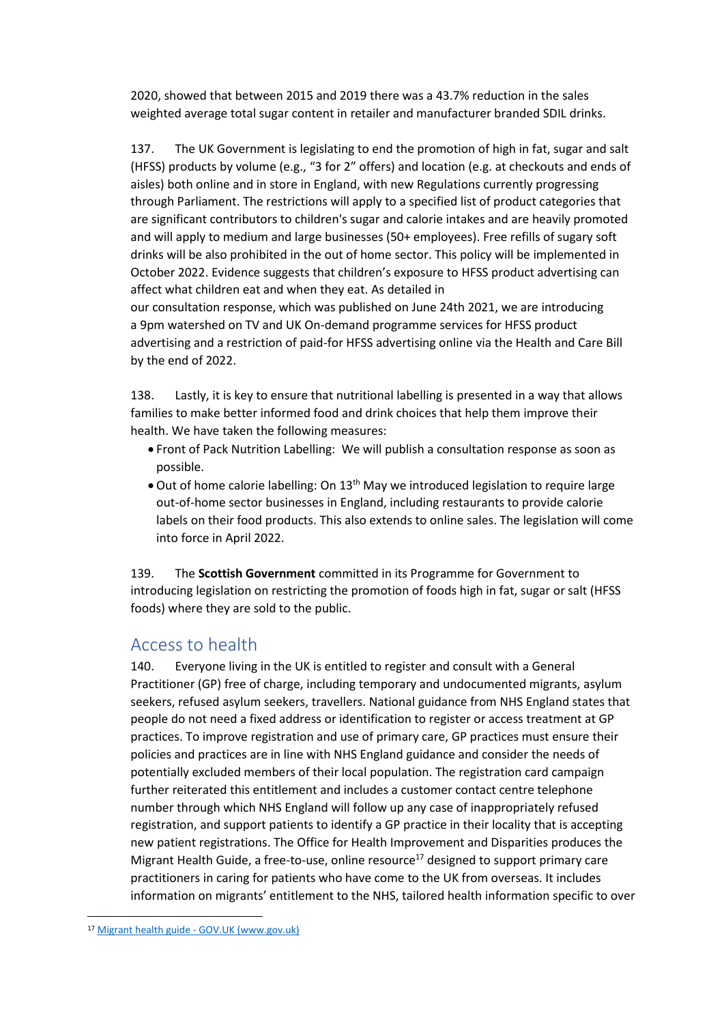2020, showed that between 2015 and 2019 there was a 43.7% reduction in the sales weighted average total sugar content in retailer and manufacturer branded SDIL drinks.

137. The UK Government is legislating to end the promotion of high in fat, sugar and salt (HFSS) products by volume (e.g., "3 for 2" offers) and location (e.g. at checkouts and ends of aisles) both online and in store in England, with new Regulations currently progressing through Parliament. The restrictions will apply to a specified list of product categories that are significant contributors to children's sugar and calorie intakes and are heavily promoted and will apply to medium and large businesses (50+ employees). Free refills of sugary soft drinks will be also prohibited in the out of home sector. This policy will be implemented in October 2022. Evidence suggests that children's exposure to HFSS product advertising can affect what children eat and when they eat. As detailed in our consultation response, which was published on June 24th 2021, we are introducing a 9pm watershed on TV and UK On-demand programme services for HFSS product advertising and a restriction of paid-for HFSS advertising online via the Health and Care Bill

by the end of 2022.

138. Lastly, it is key to ensure that nutritional labelling is presented in a way that allows families to make better informed food and drink choices that help them improve their health. We have taken the following measures:

- Front of Pack Nutrition Labelling: We will publish a consultation response as soon as possible.
- Out of home calorie labelling: On 13<sup>th</sup> May we introduced legislation to require large out-of-home sector businesses in England, including restaurants to provide calorie labels on their food products. This also extends to online sales. The legislation will come into force in April 2022.

139. The **Scottish Government** committed in its Programme for Government to introducing legislation on restricting the promotion of foods high in fat, sugar or salt (HFSS foods) where they are sold to the public.

### <span id="page-33-0"></span>Access to health

140. Everyone living in the UK is entitled to register and consult with a General Practitioner (GP) free of charge, including temporary and undocumented migrants, asylum seekers, refused asylum seekers, travellers. National guidance from NHS England states that people do not need a fixed address or identification to register or access treatment at GP practices. To improve registration and use of primary care, GP practices must ensure their policies and practices are in line with NHS England guidance and consider the needs of potentially excluded members of their local population. The registration card campaign further reiterated this entitlement and includes a customer contact centre telephone number through which NHS England will follow up any case of inappropriately refused registration, and support patients to identify a GP practice in their locality that is accepting new patient registrations. The Office for Health Improvement and Disparities produces the Migrant Health Guide, a free-to-use, online resource<sup>17</sup> designed to support primary care practitioners in caring for patients who have come to the UK from overseas. It includes information on migrants' entitlement to the NHS, tailored health information specific to over

<sup>17</sup> Migrant health guide - [GOV.UK \(www.gov.uk\)](https://www.gov.uk/government/collections/migrant-health-guide)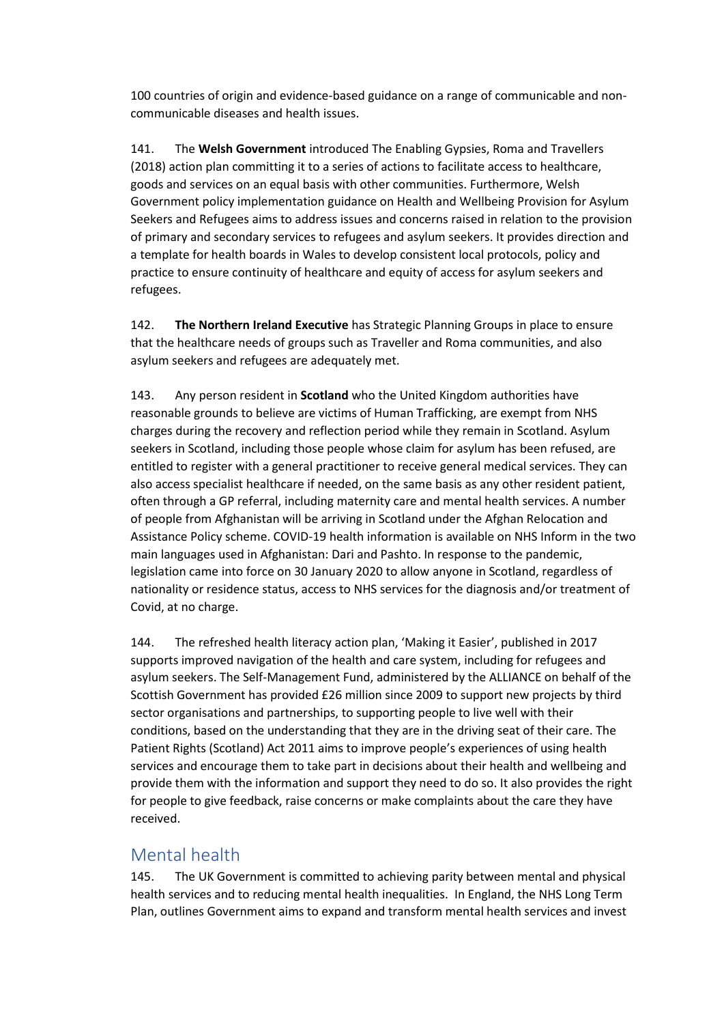100 countries of origin and evidence-based guidance on a range of communicable and noncommunicable diseases and health issues.

141. The **Welsh Government** introduced The Enabling Gypsies, Roma and Travellers (2018) action plan committing it to a series of actions to facilitate access to healthcare, goods and services on an equal basis with other communities. Furthermore, Welsh Government policy implementation guidance on Health and Wellbeing Provision for Asylum Seekers and Refugees aims to address issues and concerns raised in relation to the provision of primary and secondary services to refugees and asylum seekers. It provides direction and a template for health boards in Wales to develop consistent local protocols, policy and practice to ensure continuity of healthcare and equity of access for asylum seekers and refugees.

142. **The Northern Ireland Executive** has Strategic Planning Groups in place to ensure that the healthcare needs of groups such as Traveller and Roma communities, and also asylum seekers and refugees are adequately met.

143. Any person resident in **Scotland** who the United Kingdom authorities have reasonable grounds to believe are victims of Human Trafficking, are exempt from NHS charges during the recovery and reflection period while they remain in Scotland. Asylum seekers in Scotland, including those people whose claim for asylum has been refused, are entitled to register with a general practitioner to receive general medical services. They can also access specialist healthcare if needed, on the same basis as any other resident patient, often through a GP referral, including maternity care and mental health services. A number of people from Afghanistan will be arriving in Scotland under the Afghan Relocation and Assistance Policy scheme. COVID-19 health information is available on NHS Inform in the two main languages used in Afghanistan: Dari and Pashto. In response to the pandemic, legislation came into force on 30 January 2020 to allow anyone in Scotland, regardless of nationality or residence status, access to NHS services for the diagnosis and/or treatment of Covid, at no charge.

144. The refreshed health literacy action plan, 'Making it Easier', published in 2017 supports improved navigation of the health and care system, including for refugees and asylum seekers. The Self-Management Fund, administered by the ALLIANCE on behalf of the Scottish Government has provided £26 million since 2009 to support new projects by third sector organisations and partnerships, to supporting people to live well with their conditions, based on the understanding that they are in the driving seat of their care. The Patient Rights (Scotland) Act 2011 aims to improve people's experiences of using health services and encourage them to take part in decisions about their health and wellbeing and provide them with the information and support they need to do so. It also provides the right for people to give feedback, raise concerns or make complaints about the care they have received.

### <span id="page-34-0"></span>Mental health

145. The UK Government is committed to achieving parity between mental and physical health services and to reducing mental health inequalities. In England, the NHS Long Term Plan, outlines Government aims to expand and transform mental health services and invest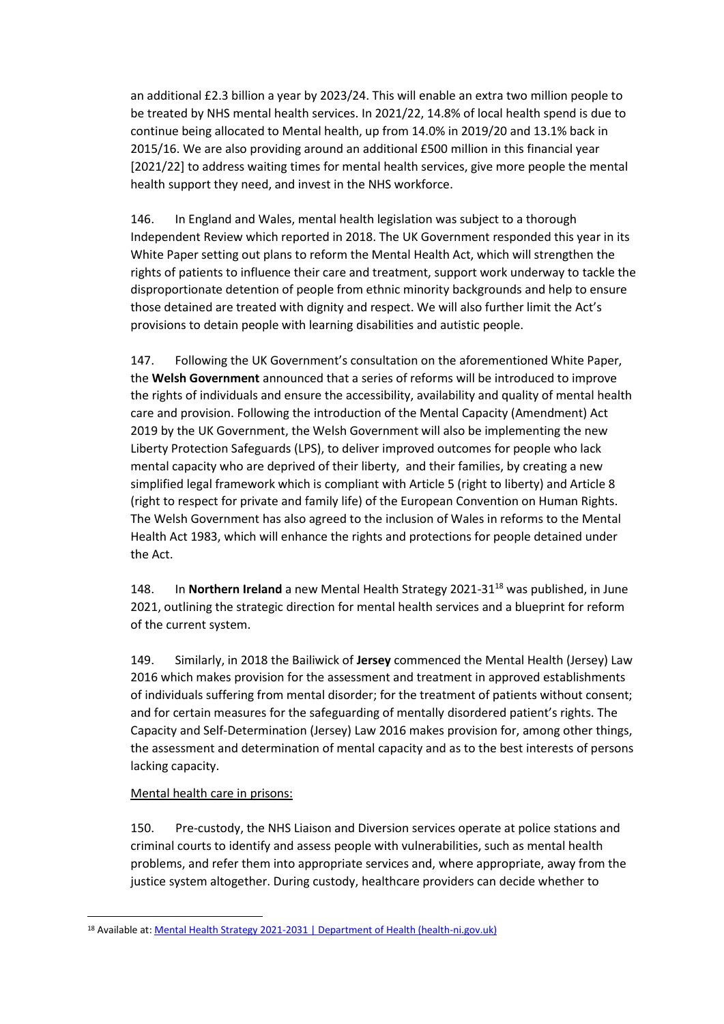an additional £2.3 billion a year by 2023/24. This will enable an extra two million people to be treated by NHS mental health services. In 2021/22, 14.8% of local health spend is due to continue being allocated to Mental health, up from 14.0% in 2019/20 and 13.1% back in 2015/16. We are also providing around an additional £500 million in this financial year [2021/22] to address waiting times for mental health services, give more people the mental health support they need, and invest in the NHS workforce.

146. In England and Wales, mental health legislation was subject to a thorough Independent Review which reported in 2018. The UK Government responded this year in its White Paper setting out plans to reform the Mental Health Act, which will strengthen the rights of patients to influence their care and treatment, support work underway to tackle the disproportionate detention of people from ethnic minority backgrounds and help to ensure those detained are treated with dignity and respect. We will also further limit the Act's provisions to detain people with learning disabilities and autistic people.

147. Following the UK Government's consultation on the aforementioned White Paper, the **Welsh Government** announced that a series of reforms will be introduced to improve the rights of individuals and ensure the accessibility, availability and quality of mental health care and provision. Following the introduction of the Mental Capacity (Amendment) Act 2019 by the UK Government, the Welsh Government will also be implementing the new Liberty Protection Safeguards (LPS), to deliver improved outcomes for people who lack mental capacity who are deprived of their liberty, and their families, by creating a new simplified legal framework which is compliant with Article 5 (right to liberty) and Article 8 (right to respect for private and family life) of the European Convention on Human Rights. The Welsh Government has also agreed to the inclusion of Wales in reforms to the Mental Health Act 1983, which will enhance the rights and protections for people detained under the Act.

148. In **Northern Ireland** a new Mental Health Strategy 2021-31<sup>18</sup> was published, in June 2021, outlining the strategic direction for mental health services and a blueprint for reform of the current system.

149. Similarly, in 2018 the Bailiwick of **Jersey** commenced the Mental Health (Jersey) Law 2016 which makes provision for the assessment and treatment in approved establishments of individuals suffering from mental disorder; for the treatment of patients without consent; and for certain measures for the safeguarding of mentally disordered patient's rights. The Capacity and Self-Determination (Jersey) Law 2016 makes provision for, among other things, the assessment and determination of mental capacity and as to the best interests of persons lacking capacity.

#### Mental health care in prisons:

150. Pre-custody, the NHS Liaison and Diversion services operate at police stations and criminal courts to identify and assess people with vulnerabilities, such as mental health problems, and refer them into appropriate services and, where appropriate, away from the justice system altogether. During custody, healthcare providers can decide whether to

<sup>18</sup> Available at[: Mental Health Strategy 2021-2031 | Department of Health \(health-ni.gov.uk\)](https://www.health-ni.gov.uk/publications/mental-health-strategy-2021-2031)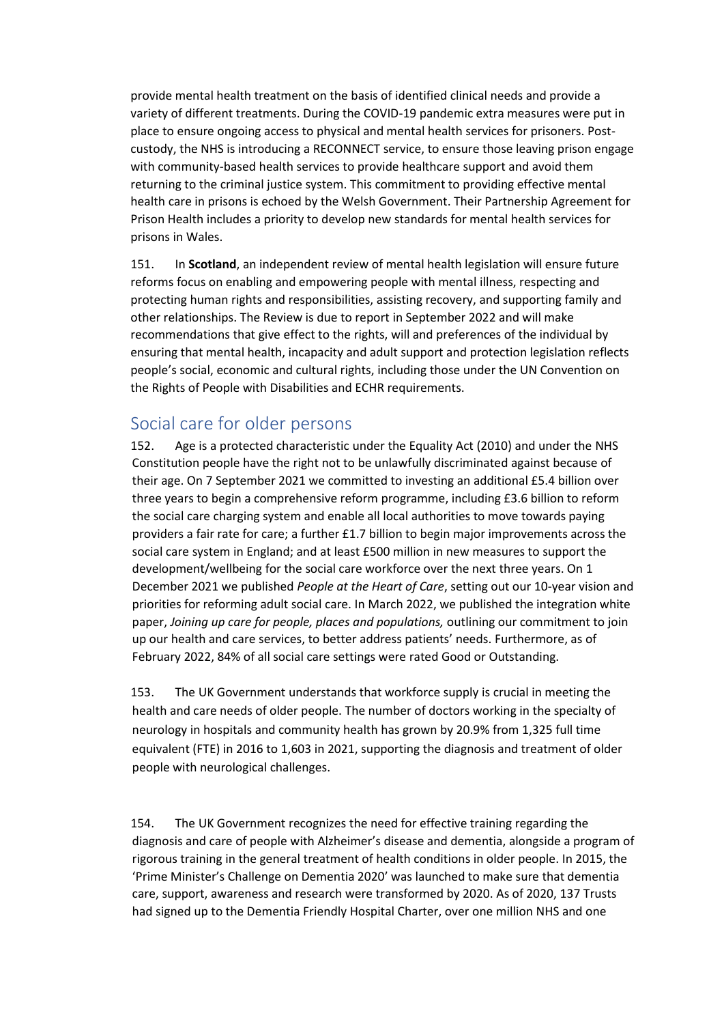provide mental health treatment on the basis of identified clinical needs and provide a variety of different treatments. During the COVID-19 pandemic extra measures were put in place to ensure ongoing access to physical and mental health services for prisoners. Postcustody, the NHS is introducing a RECONNECT service, to ensure those leaving prison engage with community-based health services to provide healthcare support and avoid them returning to the criminal justice system. This commitment to providing effective mental health care in prisons is echoed by the Welsh Government. Their Partnership Agreement for Prison Health includes a priority to develop new standards for mental health services for prisons in Wales.

151. In **Scotland**, an independent review of mental health legislation will ensure future reforms focus on enabling and empowering people with mental illness, respecting and protecting human rights and responsibilities, assisting recovery, and supporting family and other relationships. The Review is due to report in September 2022 and will make recommendations that give effect to the rights, will and preferences of the individual by ensuring that mental health, incapacity and adult support and protection legislation reflects people's social, economic and cultural rights, including those under the UN Convention on the Rights of People with Disabilities and ECHR requirements.

### <span id="page-36-0"></span>Social care for older persons

152. Age is a protected characteristic under the Equality Act (2010) and under the NHS Constitution people have the right not to be unlawfully discriminated against because of their age. On 7 September 2021 we committed to investing an additional £5.4 billion over three years to begin a comprehensive reform programme, including £3.6 billion to reform the social care charging system and enable all local authorities to move towards paying providers a fair rate for care; a further £1.7 billion to begin major improvements across the social care system in England; and at least £500 million in new measures to support the development/wellbeing for the social care workforce over the next three years. On 1 December 2021 we published *People at the Heart of Care*, setting out our 10-year vision and priorities for reforming adult social care. In March 2022, we published the integration white paper, *Joining up care for people, places and populations,* outlining our commitment to join up our health and care services, to better address patients' needs. Furthermore, as of February 2022, 84% of all social care settings were rated Good or Outstanding.

153. The UK Government understands that workforce supply is crucial in meeting the health and care needs of older people. The number of doctors working in the specialty of neurology in hospitals and community health has grown by 20.9% from 1,325 full time equivalent (FTE) in 2016 to 1,603 in 2021, supporting the diagnosis and treatment of older people with neurological challenges.

154. The UK Government recognizes the need for effective training regarding the diagnosis and care of people with Alzheimer's disease and dementia, alongside a program of rigorous training in the general treatment of health conditions in older people. In 2015, the 'Prime Minister's Challenge on Dementia 2020' was launched to make sure that dementia care, support, awareness and research were transformed by 2020. As of 2020, 137 Trusts had signed up to the Dementia Friendly Hospital Charter, over one million NHS and one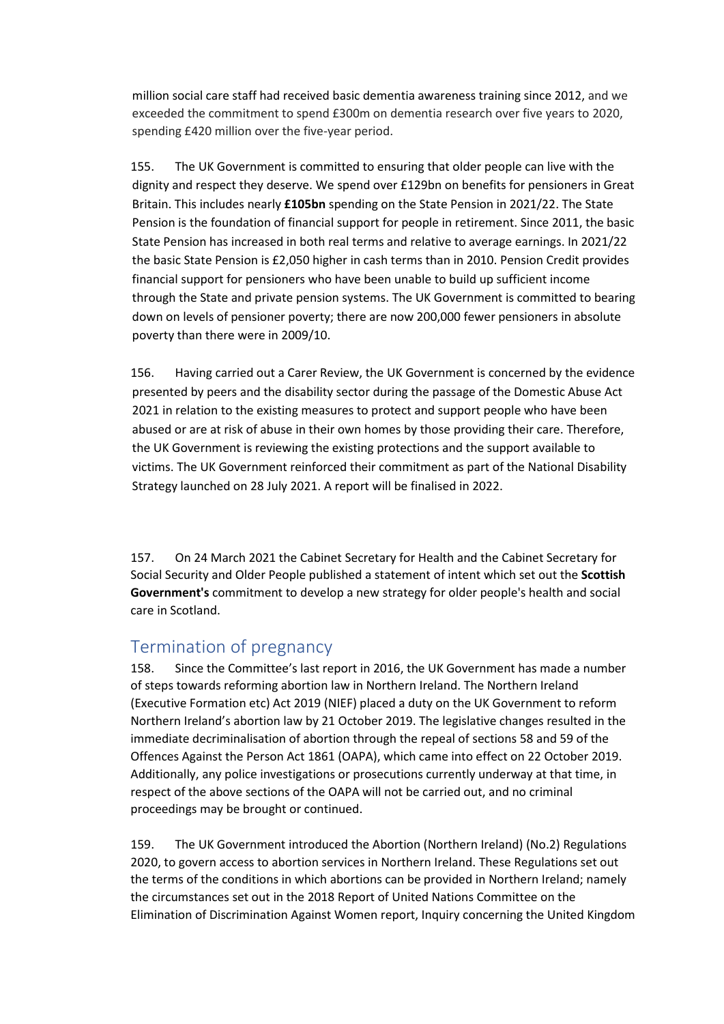million social care staff had received basic dementia awareness training since 2012, and we exceeded the commitment to spend £300m on dementia research over five years to 2020, spending £420 million over the five-year period.

155. The UK Government is committed to ensuring that older people can live with the dignity and respect they deserve. We spend over £129bn on benefits for pensioners in Great Britain. This includes nearly **£105bn** spending on the State Pension in 2021/22. The State Pension is the foundation of financial support for people in retirement. Since 2011, the basic State Pension has increased in both real terms and relative to average earnings. In 2021/22 the basic State Pension is £2,050 higher in cash terms than in 2010. Pension Credit provides financial support for pensioners who have been unable to build up sufficient income through the State and private pension systems. The UK Government is committed to bearing down on levels of pensioner poverty; there are now 200,000 fewer pensioners in absolute poverty than there were in 2009/10.

156. Having carried out a Carer Review, the UK Government is concerned by the evidence presented by peers and the disability sector during the passage of the Domestic Abuse Act 2021 in relation to the existing measures to protect and support people who have been abused or are at risk of abuse in their own homes by those providing their care. Therefore, the UK Government is reviewing the existing protections and the support available to victims. The UK Government reinforced their commitment as part of the National Disability Strategy launched on 28 July 2021. A report will be finalised in 2022.

157. On 24 March 2021 the Cabinet Secretary for Health and the Cabinet Secretary for Social Security and Older People published a statement of intent which set out the **Scottish Government's** commitment to develop a new strategy for older people's health and social care in Scotland.

### <span id="page-37-0"></span>Termination of pregnancy

158. Since the Committee's last report in 2016, the UK Government has made a number of steps towards reforming abortion law in Northern Ireland. The Northern Ireland (Executive Formation etc) Act 2019 (NIEF) placed a duty on the UK Government to reform Northern Ireland's abortion law by 21 October 2019. The legislative changes resulted in the immediate decriminalisation of abortion through the repeal of sections 58 and 59 of the Offences Against the Person Act 1861 (OAPA), which came into effect on 22 October 2019. Additionally, any police investigations or prosecutions currently underway at that time, in respect of the above sections of the OAPA will not be carried out, and no criminal proceedings may be brought or continued.

159. The UK Government introduced the Abortion (Northern Ireland) (No.2) Regulations 2020, to govern access to abortion services in Northern Ireland. These Regulations set out the terms of the conditions in which abortions can be provided in Northern Ireland; namely the circumstances set out in the 2018 Report of United Nations Committee on the Elimination of Discrimination Against Women report, Inquiry concerning the United Kingdom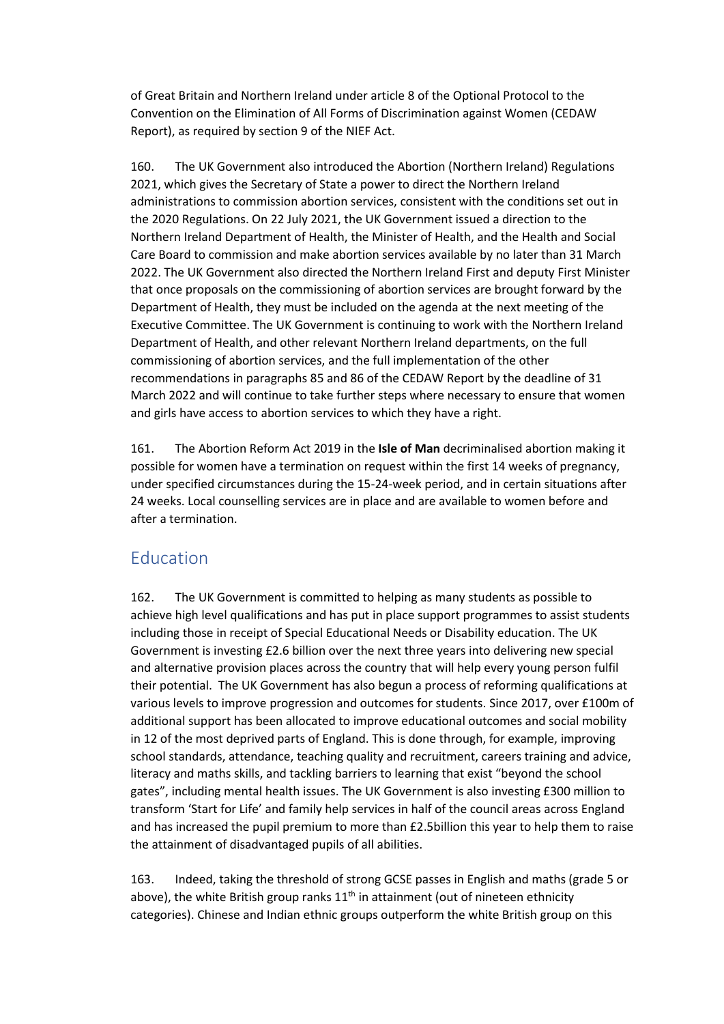of Great Britain and Northern Ireland under article 8 of the Optional Protocol to the Convention on the Elimination of All Forms of Discrimination against Women (CEDAW Report), as required by section 9 of the NIEF Act.

160. The UK Government also introduced the Abortion (Northern Ireland) Regulations 2021, which gives the Secretary of State a power to direct the Northern Ireland administrations to commission abortion services, consistent with the conditions set out in the 2020 Regulations. On 22 July 2021, the UK Government issued a direction to the Northern Ireland Department of Health, the Minister of Health, and the Health and Social Care Board to commission and make abortion services available by no later than 31 March 2022. The UK Government also directed the Northern Ireland First and deputy First Minister that once proposals on the commissioning of abortion services are brought forward by the Department of Health, they must be included on the agenda at the next meeting of the Executive Committee. The UK Government is continuing to work with the Northern Ireland Department of Health, and other relevant Northern Ireland departments, on the full commissioning of abortion services, and the full implementation of the other recommendations in paragraphs 85 and 86 of the CEDAW Report by the deadline of 31 March 2022 and will continue to take further steps where necessary to ensure that women and girls have access to abortion services to which they have a right.

161. The Abortion Reform Act 2019 in the **Isle of Man** decriminalised abortion making it possible for women have a termination on request within the first 14 weeks of pregnancy, under specified circumstances during the 15-24-week period, and in certain situations after 24 weeks. Local counselling services are in place and are available to women before and after a termination.

### <span id="page-38-0"></span>**Education**

162. The UK Government is committed to helping as many students as possible to achieve high level qualifications and has put in place support programmes to assist students including those in receipt of Special Educational Needs or Disability education. The UK Government is investing £2.6 billion over the next three years into delivering new special and alternative provision places across the country that will help every young person fulfil their potential. The UK Government has also begun a process of reforming qualifications at various levels to improve progression and outcomes for students. Since 2017, over £100m of additional support has been allocated to improve educational outcomes and social mobility in 12 of the most deprived parts of England. This is done through, for example, improving school standards, attendance, teaching quality and recruitment, careers training and advice, literacy and maths skills, and tackling barriers to learning that exist "beyond the school gates", including mental health issues. The UK Government is also investing £300 million to transform 'Start for Life' and family help services in half of the council areas across England and has increased the pupil premium to more than £2.5billion this year to help them to raise the attainment of disadvantaged pupils of all abilities.

163. Indeed, taking the threshold of strong GCSE passes in English and maths (grade 5 or above), the white British group ranks  $11<sup>th</sup>$  in attainment (out of nineteen ethnicity categories). Chinese and Indian ethnic groups outperform the white British group on this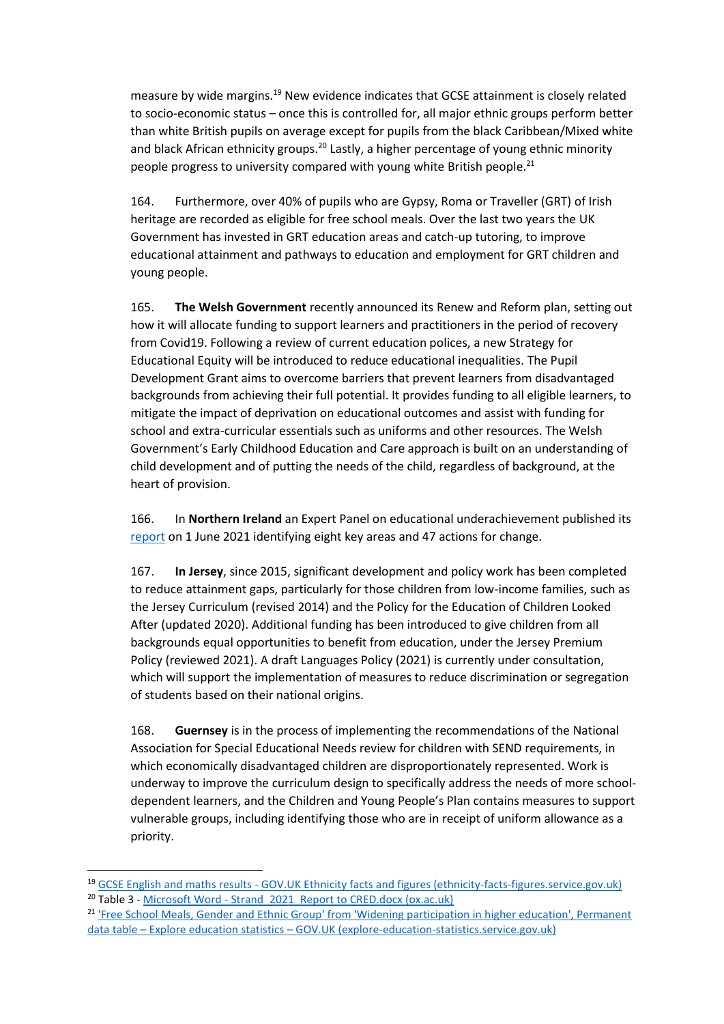measure by wide margins.<sup>19</sup> New evidence indicates that GCSE attainment is closely related to socio-economic status – once this is controlled for, all major ethnic groups perform better than white British pupils on average except for pupils from the black Caribbean/Mixed white and black African ethnicity groups.<sup>20</sup> Lastly, a higher percentage of young ethnic minority people progress to university compared with young white British people.<sup>21</sup>

164. Furthermore, over 40% of pupils who are Gypsy, Roma or Traveller (GRT) of Irish heritage are recorded as eligible for free school meals. Over the last two years the UK Government has invested in GRT education areas and catch-up tutoring, to improve educational attainment and pathways to education and employment for GRT children and young people.

165. **The Welsh Government** recently announced its [Renew and Reform plan,](https://gov.wales/written-statement-renew-and-reform-supporting-learners-well-being-and-progression?_ga=2.124690954.1008241272.1623745236-892243723.1617700927) setting out how it will allocate funding to support learners and practitioners in the period of recovery from Covid19. Following a review of current education polices, a new Strategy for Educational Equity will be introduced to reduce educational inequalities. The Pupil Development Grant aims to overcome barriers that prevent learners from disadvantaged backgrounds from achieving their full potential. It provides funding to all eligible learners, to mitigate the impact of deprivation on educational outcomes and assist with funding for school and extra-curricular essentials such as uniforms and other resources. The Welsh Government's Early Childhood Education and Care approach is built on an understanding of child development and of putting the needs of the child, regardless of background, at the heart of provision.

166. In **Northern Ireland** an Expert Panel on educational underachievement published its [report](https://www.education-ni.gov.uk/sites/default/files/publications/education/A%20Fair%20Start%20-%20Final%20Report%20and%20Action%20Plan.pdf) on 1 June 2021 identifying eight key areas and 47 actions for change.

167. **In Jersey**, since 2015, significant development and policy work has been completed to reduce attainment gaps, particularly for those children from low-income families, such as the [Jersey Curriculum \(revised 2014\)](https://www.gov.je/SiteCollectionDocuments/Education/ID%20Jersey%20Curriculum%20Introduction%2020170302%20JM.pdf) and the [Policy for the Education of Children Looked](https://www.gov.je/SiteCollectionDocuments/Education/P%20Education%20of%20Children%20Looked%20After%20Policy%2020200128%20KR.pdf)  [After \(updated 2020\).](https://www.gov.je/SiteCollectionDocuments/Education/P%20Education%20of%20Children%20Looked%20After%20Policy%2020200128%20KR.pdf) Additional funding has been introduced to give children from all backgrounds equal opportunities to benefit from education, under the Jersey Premium Policy (reviewed 2021). A draft Languages Policy (2021) is currently under consultation, which will support the implementation of measures to reduce discrimination or segregation of students based on their national origins.

168. **Guernsey** is in the process of implementing the recommendations of the National Association for Special Educational Needs review for children with SEND requirements, in which economically disadvantaged children are disproportionately represented. Work is underway to improve the curriculum design to specifically address the needs of more schooldependent learners, and the Children and Young People's Plan contains measures to support vulnerable groups, including identifying those who are in receipt of uniform allowance as a priority.

<sup>19</sup> GCSE English and maths results - [GOV.UK Ethnicity facts and figures \(ethnicity-facts-figures.service.gov.uk\)](https://www.ethnicity-facts-figures.service.gov.uk/education-skills-and-training/11-to-16-years-old/a-to-c-in-english-and-maths-gcse-attainment-for-children-aged-14-to-16-key-stage-4/latest) <sup>20</sup> Table 3 - Microsoft Word - Strand 2021 Report to CRED.docx (ox.ac.uk)

<sup>&</sup>lt;sup>21</sup> 'Free School Meals, Gender and Ethnic Group' from 'Widening participation in higher education', Permanent data table – Explore education statistics – [GOV.UK \(explore-education-statistics.service.gov.uk\)](https://explore-education-statistics.service.gov.uk/data-tables/permalink/77f3aabf-1e21-4c2f-bb58-b5671c695307)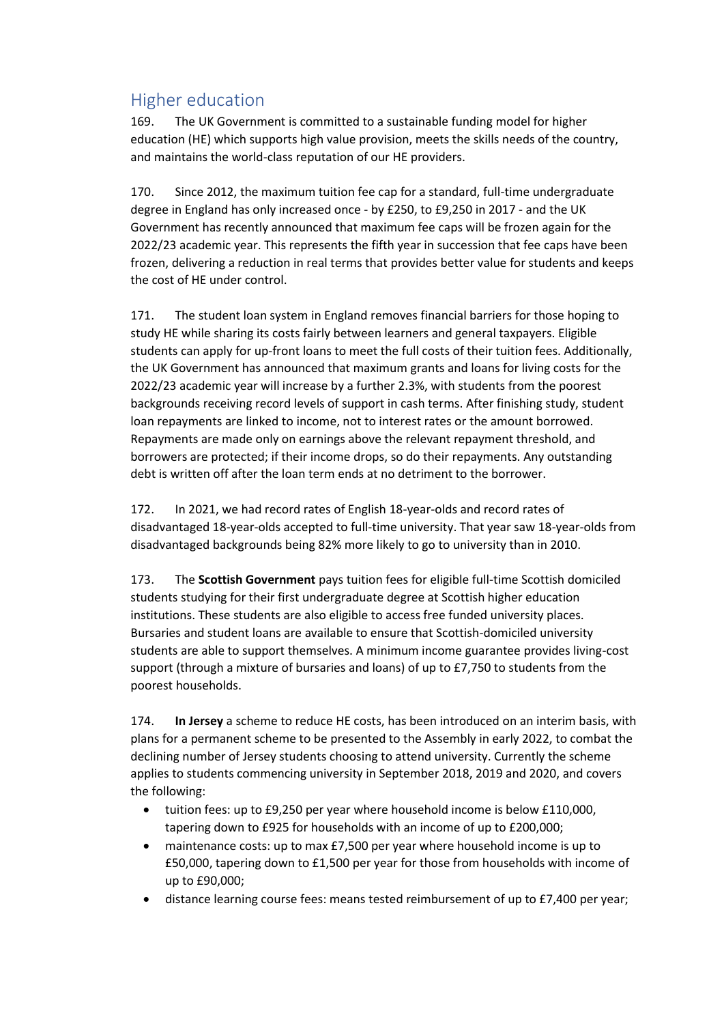# <span id="page-40-0"></span>Higher education

169. The UK Government is committed to a sustainable funding model for higher education (HE) which supports high value provision, meets the skills needs of the country, and maintains the world-class reputation of our HE providers.

170. Since 2012, the maximum tuition fee cap for a standard, full-time undergraduate degree in England has only increased once - by £250, to £9,250 in 2017 - and the UK Government has recently announced that maximum fee caps will be frozen again for the 2022/23 academic year. This represents the fifth year in succession that fee caps have been frozen, delivering a reduction in real terms that provides better value for students and keeps the cost of HE under control.

171. The student loan system in England removes financial barriers for those hoping to study HE while sharing its costs fairly between learners and general taxpayers. Eligible students can apply for up-front loans to meet the full costs of their tuition fees. Additionally, the UK Government has announced that maximum grants and loans for living costs for the 2022/23 academic year will increase by a further 2.3%, with students from the poorest backgrounds receiving record levels of support in cash terms. After finishing study, student loan repayments are linked to income, not to interest rates or the amount borrowed. Repayments are made only on earnings above the relevant repayment threshold, and borrowers are protected; if their income drops, so do their repayments. Any outstanding debt is written off after the loan term ends at no detriment to the borrower.

172. In 2021, we had record rates of English 18-year-olds and record rates of disadvantaged 18-year-olds accepted to full-time university. That year saw 18-year-olds from disadvantaged backgrounds being 82% more likely to go to university than in 2010.

173. The **Scottish Government** pays tuition fees for eligible full-time Scottish domiciled students studying for their first undergraduate degree at Scottish higher education institutions. These students are also eligible to access free funded university places. Bursaries and student loans are available to ensure that Scottish-domiciled university students are able to support themselves. A minimum income guarantee provides living-cost support (through a mixture of bursaries and loans) of up to £7,750 to students from the poorest households.

174. **In Jersey** a scheme to reduce HE costs, has been introduced on an interim basis, with plans for a permanent scheme to be presented to the Assembly in early 2022, to combat the declining number of Jersey students choosing to attend university. Currently the scheme applies to students commencing university in September 2018, 2019 and 2020, and covers the following:

- tuition fees: up to £9,250 per year where household income is below £110,000, tapering down to £925 for households with an income of up to £200,000;
- maintenance costs: up to max £7,500 per year where household income is up to £50,000, tapering down to £1,500 per year for those from households with income of up to £90,000;
- distance learning course fees: means tested reimbursement of up to £7,400 per year;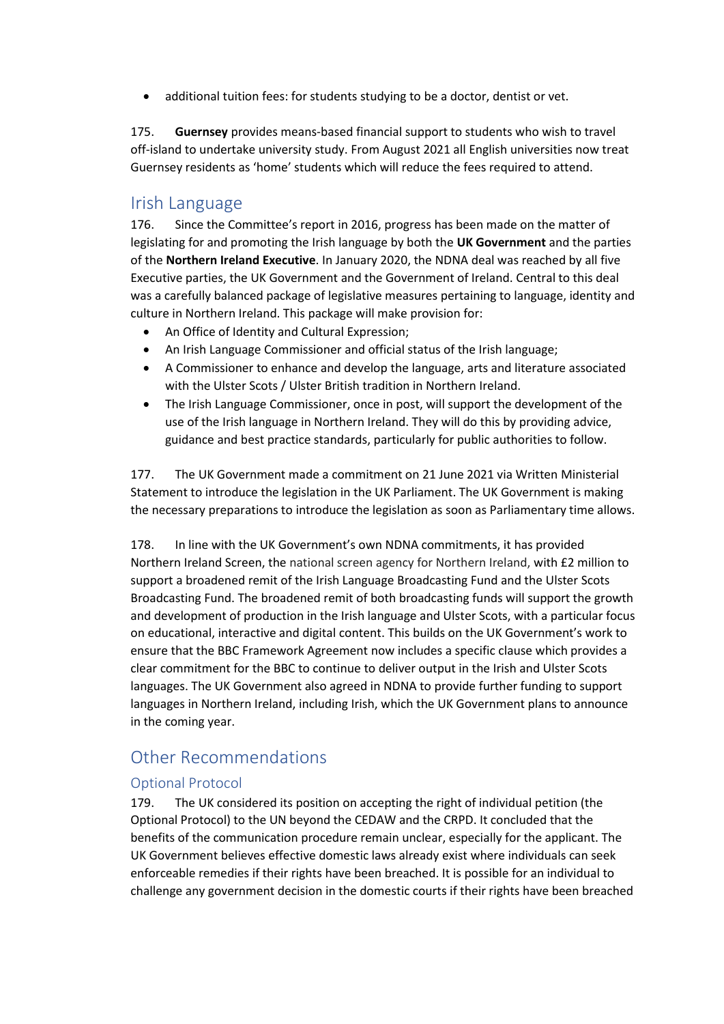• additional tuition fees: for students studying to be a doctor, dentist or vet.

175. **Guernsey** provides means-based financial support to students who wish to travel off-island to undertake university study. [From August 2021 all English universities now treat](https://www.gov.gg/article/180820/States-of-Guernsey-welcomes-home-fees-for-university-students)  [Guernsey residents as 'home' students](https://www.gov.gg/article/180820/States-of-Guernsey-welcomes-home-fees-for-university-students) which will reduce the fees required to attend.

### <span id="page-41-0"></span>Irish Language

176. Since the Committee's report in 2016, progress has been made on the matter of legislating for and promoting the Irish language by both the **UK Government** and the parties of the **Northern Ireland Executive**. In January 2020, the NDNA deal was reached by all five Executive parties, the UK Government and the Government of Ireland. Central to this deal was a carefully balanced package of legislative measures pertaining to language, identity and culture in Northern Ireland. This package will make provision for:

- An Office of Identity and Cultural Expression;
- An Irish Language Commissioner and official status of the Irish language;
- A Commissioner to enhance and develop the language, arts and literature associated with the Ulster Scots / Ulster British tradition in Northern Ireland.
- The Irish Language Commissioner, once in post, will support the development of the use of the Irish language in Northern Ireland. They will do this by providing advice, guidance and best practice standards, particularly for public authorities to follow.

177. The UK Government made a commitment on 21 June 2021 via Written Ministerial Statement to introduce the legislation in the UK Parliament. The UK Government is making the necessary preparations to introduce the legislation as soon as Parliamentary time allows.

178. In line with the UK Government's own NDNA commitments, it has provided Northern Ireland Screen, the national screen agency for Northern Ireland, with £2 million to support a broadened remit of the Irish Language Broadcasting Fund and the Ulster Scots Broadcasting Fund. The broadened remit of both broadcasting funds will support the growth and development of production in the Irish language and Ulster Scots, with a particular focus on educational, interactive and digital content. This builds on the UK Government's work to ensure that the BBC Framework Agreement now includes a specific clause which provides a clear commitment for the BBC to continue to deliver output in the Irish and Ulster Scots languages. The UK Government also agreed in NDNA to provide further funding to support languages in Northern Ireland, including Irish, which the UK Government plans to announce in the coming year.

## <span id="page-41-1"></span>Other Recommendations

#### <span id="page-41-2"></span>Optional Protocol

179. The UK considered its position on accepting the right of individual petition (the Optional Protocol) to the UN beyond the CEDAW and the CRPD. It concluded that the benefits of the communication procedure remain unclear, especially for the applicant. The UK Government believes effective domestic laws already exist where individuals can seek enforceable remedies if their rights have been breached. It is possible for an individual to challenge any government decision in the domestic courts if their rights have been breached